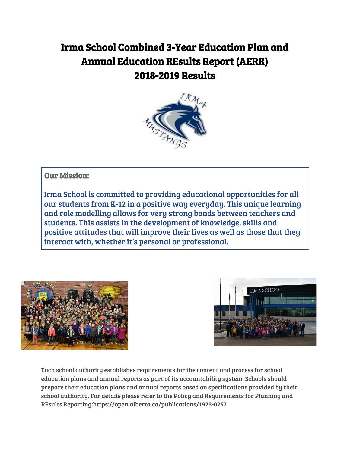# Irma School Combined 3-Year Education Plan and Annual Education REsults Report (AERR) 2018-2019 Results



# Our Mission:

Irma School is committed to providing educational opportunities for all our students from K-12 in a positive way everyday. This unique learning and role modelling allows for very strong bonds between teachers and students. This assists in the development of knowledge, skills and positive attitudes that will improve their lives as well as those that they interact with, whether it's personal or professional.





Each school authority establishes requirements for the content and process for school education plans and annual reports as part of its accountability system. Schools should prepare their education plans and annual reports based on specifications provided by their school authority. For details please refer to the Policy and Requirements for Planning and REsults Reporting:https://open.alberta.ca/publications/1923-0257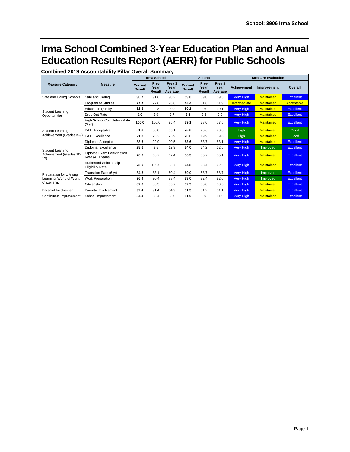# **Irma School Combined 3-Year Education Plan and Annual Education Results Report (AERR) for Public Schools**

| <b>Combined 2019 Accountability Pillar Overall Summary</b> |  |  |
|------------------------------------------------------------|--|--|
|------------------------------------------------------------|--|--|

|                                            |                                                        |                          | <b>Irma School</b>            |                                      |                          | Alberta                       |                                      |                    | <b>Measure Evaluation</b> |                  |
|--------------------------------------------|--------------------------------------------------------|--------------------------|-------------------------------|--------------------------------------|--------------------------|-------------------------------|--------------------------------------|--------------------|---------------------------|------------------|
| <b>Measure Category</b>                    | <b>Measure</b>                                         | Current<br><b>Result</b> | Prev<br>Year<br><b>Result</b> | Prev <sub>3</sub><br>Year<br>Average | Current<br><b>Result</b> | Prev<br>Year<br><b>Result</b> | Prev <sub>3</sub><br>Year<br>Average | <b>Achievement</b> | Improvement               | Overall          |
| Safe and Caring Schools                    | Safe and Caring                                        | 90.7                     | 91.8                          | 90.2                                 | 89.0                     | 89.0                          | 89.3                                 | Very High          | <b>Maintained</b>         | <b>Excellent</b> |
|                                            | Program of Studies                                     | 77.5                     | 77.8                          | 76.8                                 | 82.2                     | 81.8                          | 81.9                                 | Intermediate       | <b>Maintained</b>         | Acceptable       |
| <b>Student Learning</b>                    | <b>Education Quality</b>                               | 92.8                     | 92.8                          | 90.2                                 | 90.2                     | 90.0                          | 90.1                                 | Very High          | <b>Maintained</b>         | <b>Excellent</b> |
| Opportunities                              | Drop Out Rate                                          | 0.0                      | 2.9                           | 2.7                                  | 2.6                      | 2.3                           | 2.9                                  | Very High          | <b>Maintained</b>         | <b>Excellent</b> |
|                                            | <b>High School Completion Rate</b><br>$(3 \text{ yr})$ | 100.0                    | 100.0                         | 95.4                                 | 79.1                     | 78.0                          | 77.5                                 | Very High          | Maintained                | Excellent        |
| Student Learning                           | PAT: Acceptable                                        | 81.3                     | 80.8                          | 85.1                                 | 73.8                     | 73.6                          | 73.6                                 | High               | <b>Maintained</b>         | Good             |
| Achievement (Grades K-9)   PAT: Excellence |                                                        | 21.3                     | 23.2                          | 25.9                                 | 20.6                     | 19.9                          | 19.6                                 | High               | <b>Maintained</b>         | Good             |
|                                            | Diploma: Acceptable                                    | 88.6                     | 92.9                          | 90.5                                 | 83.6                     | 83.7                          | 83.1                                 | <b>Very High</b>   | <b>Maintained</b>         | <b>Excellent</b> |
| Student Learning                           | Diploma: Excellence                                    | 28.6                     | 9.5                           | 12.9                                 | 24.0                     | 24.2                          | 22.5                                 | <b>Very High</b>   | Improved                  | <b>Excellent</b> |
| Achievement (Grades 10-<br>12)             | Diploma Exam Participation<br>Rate (4+ Exams)          | 70.0                     | 66.7                          | 67.4                                 | 56.3                     | 55.7                          | 55.1                                 | Very High          | <b>Maintained</b>         | <b>Excellent</b> |
|                                            | Rutherford Scholarship<br><b>Eligibility Rate</b>      | 75.0                     | 100.0                         | 85.7                                 | 64.8                     | 63.4                          | 62.2                                 | <b>Very High</b>   | <b>Maintained</b>         | Excellent        |
| Preparation for Lifelong                   | Transition Rate (6 yr)                                 | 84.8                     | 83.1                          | 60.4                                 | 59.0                     | 58.7                          | 58.7                                 | Very High          | Improved                  | <b>Excellent</b> |
| Learning, World of Work,                   | Work Preparation                                       | 96.4                     | 90.4                          | 88.4                                 | 83.0                     | 82.4                          | 82.6                                 | Very High          | Improved                  | <b>Excellent</b> |
| Citizenship                                | Citizenship                                            | 87.3                     | 86.3                          | 85.7                                 | 82.9                     | 83.0                          | 83.5                                 | Very High          | <b>Maintained</b>         | <b>Excellent</b> |
| Parental Involvement                       | Parental Involvement                                   | 92.4                     | 91.4                          | 84.9                                 | 81.3                     | 81.2                          | 81.1                                 | Very High          | <b>Maintained</b>         | <b>Excellent</b> |
| Continuous Improvement                     | School Improvement                                     | 84.4                     | 88.4                          | 85.0                                 | 81.0                     | 80.3                          | 81.0                                 | <b>Very High</b>   | <b>Maintained</b>         | <b>Excellent</b> |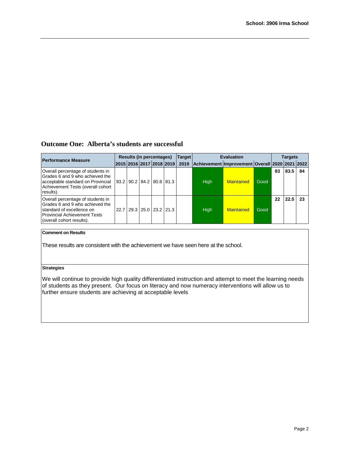# **Outcome One: Alberta's students are successful**

| <b>Performance Measure</b>                                                                                                                                             | <b>Results (in percentages)</b> |  |                              |  |  | <b>Target</b> | <b>Evaluation</b>                              | <b>Targets</b> |      |    |      |    |
|------------------------------------------------------------------------------------------------------------------------------------------------------------------------|---------------------------------|--|------------------------------|--|--|---------------|------------------------------------------------|----------------|------|----|------|----|
|                                                                                                                                                                        |                                 |  | 2015  2016  2017  2018  2019 |  |  | 2019          | Achievement Improvement Overall 2020 2021 2022 |                |      |    |      |    |
| Overall percentage of students in<br>Grades 6 and 9 who achieved the<br>acceptable standard on Provincial<br>Achievement Tests (overall cohort<br>results).            |                                 |  | 93.2 90.2 84.2 80.8 81.3     |  |  |               | High                                           | Maintained     | Good | 83 | 83.5 | 84 |
| Overall percentage of students in<br>Grades 6 and 9 who achieved the<br>standard of excellence on<br><b>IProvincial Achievement Tests</b><br>(overall cohort results). |                                 |  | 22.7 29.3 25.0 23.2 21.3     |  |  |               | <b>High</b>                                    | Maintained     | Good | 22 | 22.5 | 23 |

# **Comment on Results**

These results are consistent with the achievement we have seen here at the school.

# **Strategies**

We will continue to provide high quality differentiated instruction and attempt to meet the learning needs of students as they present. Our focus on literacy and now numeracy interventions will allow us to further ensure students are achieving at acceptable levels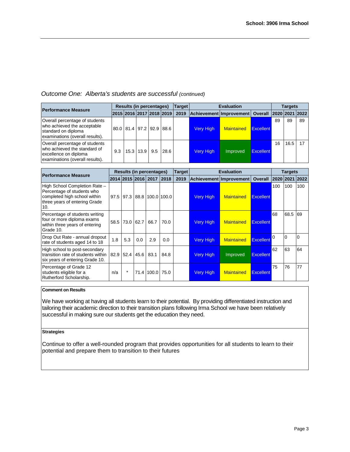# *Outcome One: Alberta's students are successful (continued)*

| <b>Performance Measure</b>                                                                                                 | <b>Results (in percentages)</b> |  |           |     |                          | <b>Target</b> | <b>Evaluation</b> |                         |                  |                | Targets |    |  |
|----------------------------------------------------------------------------------------------------------------------------|---------------------------------|--|-----------|-----|--------------------------|---------------|-------------------|-------------------------|------------------|----------------|---------|----|--|
|                                                                                                                            |                                 |  |           |     | 2015 2016 2017 2018 2019 | 2019          |                   | Achievement Improvement | <b>Overall</b>   | 2020 2021 2022 |         |    |  |
| Overall percentage of students<br>who achieved the acceptable<br>standard on diploma<br>examinations (overall results).    |                                 |  |           |     | 80.0 81.4 97.2 92.9 88.6 |               | <b>Very High</b>  | <b>Maintained</b>       | Excellent        | 89             | 89      | 89 |  |
| Overall percentage of students<br>who achieved the standard of<br>excellence on diploma<br>examinations (overall results). | 9.3                             |  | 15.3 13.9 | 9.5 | 28.6                     |               | <b>Very High</b>  | Improved                | <b>Excellent</b> | 16             | 16.5    |    |  |

| <b>Performance Measure</b>                                                                                                          | <b>Results (in percentages)</b> |                |           |                                    |      | <b>Target</b> | <b>Evaluation</b> |                         | <b>Targets</b>   |                |      |     |
|-------------------------------------------------------------------------------------------------------------------------------------|---------------------------------|----------------|-----------|------------------------------------|------|---------------|-------------------|-------------------------|------------------|----------------|------|-----|
|                                                                                                                                     |                                 |                |           | 2014 2015 2016 2017                | 2018 | 2019          |                   | Achievement Improvement | <b>Overall</b>   | 2020 2021 2022 |      |     |
| High School Completion Rate -<br>Percentage of students who<br>completed high school within<br>three years of entering Grade<br>10. |                                 |                |           | 97.5   97.3   88.8   100.0   100.0 |      |               | <b>Very High</b>  | <b>Maintained</b>       | Excellent        | 100            | 100  | 100 |
| Percentage of students writing<br>four or more diploma exams<br>within three years of entering<br>Grade 10.                         | 58.5                            |                | 73.0 62.7 | 66.7                               | 70.0 |               | <b>Very High</b>  | <b>Maintained</b>       | <b>Excellent</b> | 68             | 68.5 | 69  |
| Drop Out Rate - annual dropout<br>rate of students aged 14 to 18                                                                    | 1.8                             | 5.3            | 0.0       | 2.9                                | 0.0  |               | <b>Very High</b>  | <b>Maintained</b>       | Excellent        | 0              | l0   |     |
| High school to post-secondary<br>transition rate of students within<br>six years of entering Grade 10.                              |                                 | 82.9 52.4 45.6 |           | 83.1                               | 84.8 |               | <b>Very High</b>  | Improved                | <b>Excellent</b> | 62             | 63   | 64  |
| Percentage of Grade 12<br>students eligible for a<br>Rutherford Scholarship.                                                        | n/a                             | $\star$        |           | 71.4 100.0                         | 75.0 |               | <b>Very High</b>  | <b>Maintained</b>       | Excellent        | 75             | 76   | 77  |

# **Comment on Results**

We have working at having all students learn to their potential. By providing differentiated instruction and tailoring their academic direction to their transition plans following Irma School we have been relatively successful in making sure our students get the education they need.

# **Strategies**

Continue to offer a well-rounded program that provides opportunities for all students to learn to their potential and prepare them to transition to their futures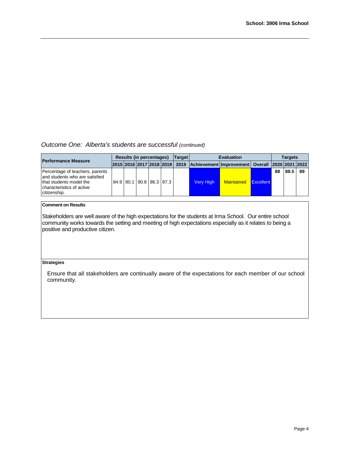*Outcome One: Alberta's students are successful (continued)*

| <b>Performance Measure</b>                                                                                                                 | Results (in percentages) |  |  |                          |  | <b>Target</b> | <b>Evaluation</b> |                                                                                                | <b>Targets</b> |    |      |     |
|--------------------------------------------------------------------------------------------------------------------------------------------|--------------------------|--|--|--------------------------|--|---------------|-------------------|------------------------------------------------------------------------------------------------|----------------|----|------|-----|
|                                                                                                                                            |                          |  |  |                          |  |               |                   | 2015  2016  2017  2018  2019   2019   Achievement   Improvement   Overall   2020   2021   2022 |                |    |      |     |
| Percentage of teachers, parents<br>land students who are satisfied<br>that students model the<br>characteristics of active<br>citizenship. |                          |  |  | 84.9 80.1 90.8 86.3 87.3 |  |               | <b>Very High</b>  | <b>Maintained</b>                                                                              | Excellent      | 88 | 88.5 | -89 |

### **Comment on Results**

Stakeholders are well aware of the high expectations for the students at Irma School. Our entire school community works towards the setting and meeting of high expectations especially as it relates to being a positive and productive citizen.

### **Strategies**

Ensure that all stakeholders are continually aware of the expectations for each member of our school community.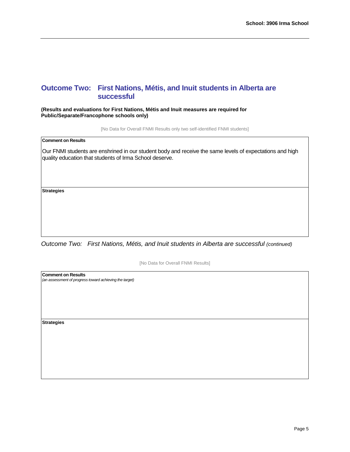# **Outcome Two: First Nations, Métis, and Inuit students in Alberta are successful**

**(Results and evaluations for First Nations, Métis and Inuit measures are required for Public/Separate/Francophone schools only)**

[No Data for Overall FNMI Results only two self-identified FNMI students]

**Comment on Results**

Our FNMI students are enshrined in our student body and receive the same levels of expectations and high quality education that students of Irma School deserve.

**Strategies**

*Outcome Two: First Nations, Métis, and Inuit students in Alberta are successful (continued)*

[No Data for Overall FNMI Results]

**Comment on Results** *(an assessment of progress toward achieving the target)* **Strategies**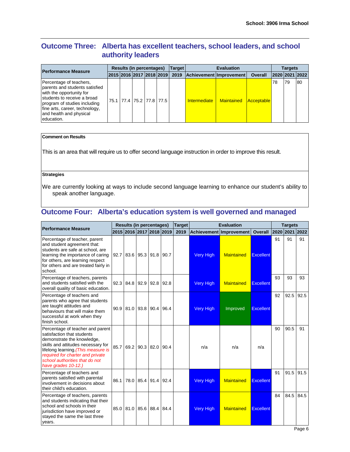# **Outcome Three: Alberta has excellent teachers, school leaders, and school authority leaders**

| <b>Performance Measure</b>                                                                                                                                                                                                      | <b>Results (in percentages)</b> |  |                          |  |  | Target                        |                           |                         | <b>Targets</b>    |    |    |                |
|---------------------------------------------------------------------------------------------------------------------------------------------------------------------------------------------------------------------------------|---------------------------------|--|--------------------------|--|--|-------------------------------|---------------------------|-------------------------|-------------------|----|----|----------------|
|                                                                                                                                                                                                                                 |                                 |  |                          |  |  | 2015 2016 2017 2018 2019 2019 |                           | Achievement Improvement | <b>Overall</b>    |    |    | 2020 2021 2022 |
| Percentage of teachers,<br>parents and students satisfied<br>with the opportunity for<br>students to receive a broad<br>program of studies including<br>fine arts, career, technology,<br>and health and physical<br>education. |                                 |  | 75.1 77.4 75.2 77.8 77.5 |  |  |                               | Intermediate   Maintained |                         | <b>Acceptable</b> | 78 | 79 | 80             |

# **Comment on Results**

This is an area that will require us to offer second language instruction in order to improve this result.

# **Strategies**

We are currently looking at ways to include second language learning to enhance our student's ability to speak another language.

# **Outcome Four: Alberta's education system is well governed and managed**

| <b>Performance Measure</b>                                                                                                                                                                                                                                             | <b>Results (in percentages)</b> |                          |           |      |      | <b>Target</b> | <b>Evaluation</b>              |                   |                  |    | <b>Targets</b> |      |  |
|------------------------------------------------------------------------------------------------------------------------------------------------------------------------------------------------------------------------------------------------------------------------|---------------------------------|--------------------------|-----------|------|------|---------------|--------------------------------|-------------------|------------------|----|----------------|------|--|
|                                                                                                                                                                                                                                                                        |                                 | 2015 2016 2017 2018 2019 |           |      |      | 2019          | <b>Achievement Improvement</b> | <b>Overall</b>    | 2020 2021 2022   |    |                |      |  |
| Percentage of teacher, parent<br>and student agreement that:<br>students are safe at school, are<br>learning the importance of caring<br>for others, are learning respect<br>for others and are treated fairly in<br>school.                                           |                                 | 92.7 83.6 95.3 91.8      |           |      | 90.7 |               | <b>Very High</b>               | <b>Maintained</b> | Excellent        | 91 | 91             | 91   |  |
| Percentage of teachers, parents<br>and students satisfied with the<br>overall quality of basic education.                                                                                                                                                              | 92.3                            | 84.8                     | 92.9      | 92.8 | 92.8 |               | <b>Very High</b>               | <b>Maintained</b> | <b>Excellent</b> | 93 | 93             | 93   |  |
| Percentage of teachers and<br>parents who agree that students<br>are taught attitudes and<br>behaviours that will make them<br>successful at work when they<br>finish school.                                                                                          |                                 | 90.9 81.0 93.8 90.4      |           |      | 96.4 |               | <b>Very High</b>               | Improved          | <b>Excellent</b> | 92 | 92.5           | 92.5 |  |
| Percentage of teacher and parent<br>satisfaction that students<br>demonstrate the knowledge,<br>skills and attitudes necessary for<br>lifelong learning. (This measure is<br>required for charter and private<br>school authorities that do not<br>have grades 10-12.) |                                 | 85.7 69.2 90.3 82.0      |           |      | 90.4 |               | n/a                            | n/a               | n/a              | 90 | 90.5           | 91   |  |
| Percentage of teachers and<br>parents satisfied with parental<br>involvement in decisions about<br>their child's education.                                                                                                                                            | 86.1                            |                          | 78.0 85.4 | 91.4 | 92.4 |               | <b>Very High</b>               | <b>Maintained</b> | <b>Excellent</b> | 91 | 91.5           | 91.5 |  |
| Percentage of teachers, parents<br>and students indicating that their<br>school and schools in their<br>jurisdiction have improved or<br>stayed the same the last three<br>years.                                                                                      | 85.0                            | 81.0 85.6 88.4           |           |      | 84.4 |               | <b>Very High</b>               | <b>Maintained</b> | <b>Excellent</b> | 84 | 84.5           | 84.5 |  |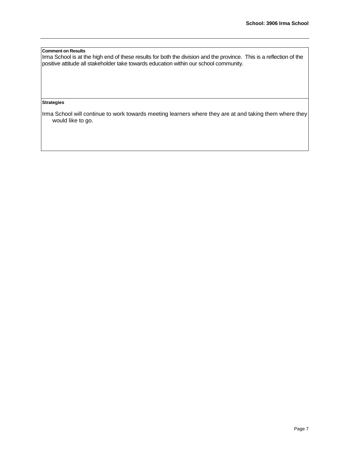# **Comment on Results**

Irma School is at the high end of these results for both the division and the province. This is a reflection of the positive attitude all stakeholder take towards education within our school community.

### **Strategies**

Irma School will continue to work towards meeting learners where they are at and taking them where they would like to go.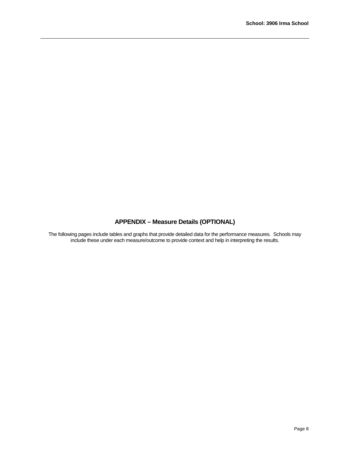# **APPENDIX – Measure Details (OPTIONAL)**

The following pages include tables and graphs that provide detailed data for the performance measures. Schools may include these under each measure/outcome to provide context and help in interpreting the results.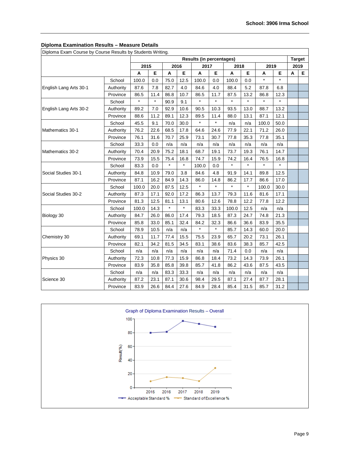٦

| Diploma Exam Course by Course Results by Students Whing. |           | <b>Results (in percentages)</b> |         |         |         |         |         |         | <b>Target</b> |         |         |      |   |
|----------------------------------------------------------|-----------|---------------------------------|---------|---------|---------|---------|---------|---------|---------------|---------|---------|------|---|
|                                                          |           | 2015                            |         |         | 2016    | 2017    |         | 2018    |               | 2019    |         | 2019 |   |
|                                                          |           | Α                               | Е       | Α       | Е       | A       | Е       | A       | Е             | Α       | Е       | A    | Е |
|                                                          | School    | 100.0                           | 0.0     | 75.0    | 12.5    | 100.0   | 0.0     | 100.0   | 0.0           | $\star$ | $\star$ |      |   |
| English Lang Arts 30-1                                   | Authority | 87.6                            | 7.8     | 82.7    | 4.0     | 84.6    | 4.0     | 88.4    | 5.2           | 87.8    | 6.8     |      |   |
|                                                          | Province  | 86.5                            | 11.4    | 86.8    | 10.7    | 86.5    | 11.7    | 87.5    | 13.2          | 86.8    | 12.3    |      |   |
|                                                          | School    | $\star$                         | $\star$ | 90.9    | 9.1     | $\star$ | $\star$ | $\star$ | $\star$       | $\star$ | $\star$ |      |   |
| English Lang Arts 30-2                                   | Authority | 89.2                            | 7.0     | 92.9    | 10.6    | 90.5    | 10.3    | 93.5    | 13.0          | 88.7    | 13.2    |      |   |
|                                                          | Province  | 88.6                            | 11.2    | 89.1    | 12.3    | 89.5    | 11.4    | 88.0    | 13.1          | 87.1    | 12.1    |      |   |
|                                                          | School    | 45.5                            | 9.1     | 70.0    | 30.0    | $\star$ | $\star$ | n/a     | n/a           | 100.0   | 50.0    |      |   |
| Mathematics 30-1                                         | Authority | 76.2                            | 22.6    | 68.5    | 17.8    | 64.6    | 24.6    | 77.9    | 22.1          | 71.2    | 26.0    |      |   |
|                                                          | Province  | 76.1                            | 31.6    | 70.7    | 25.9    | 73.1    | 30.7    | 77.8    | 35.3          | 77.8    | 35.1    |      |   |
|                                                          | School    | 33.3                            | 0.0     | n/a     | n/a     | n/a     | n/a     | n/a     | n/a           | n/a     | n/a     |      |   |
| Mathematics 30-2                                         | Authority | 70.4                            | 20.9    | 75.2    | 18.1    | 68.7    | 19.1    | 73.7    | 19.3          | 76.1    | 14.7    |      |   |
|                                                          | Province  | 73.9                            | 15.5    | 75.4    | 16.8    | 74.7    | 15.9    | 74.2    | 16.4          | 76.5    | 16.8    |      |   |
|                                                          | School    | 83.3                            | 0.0     | $\star$ | $\star$ | 100.0   | 0.0     | $\star$ | $\star$       | $\star$ | $\star$ |      |   |
| Social Studies 30-1                                      | Authority | 84.8                            | 10.9    | 79.0    | 3.8     | 84.6    | 4.8     | 91.9    | 14.1          | 89.8    | 12.5    |      |   |
|                                                          | Province  | 87.1                            | 16.2    | 84.9    | 14.3    | 86.0    | 14.8    | 86.2    | 17.7          | 86.6    | 17.0    |      |   |
|                                                          | School    | 100.0                           | 20.0    | 87.5    | 12.5    | $\star$ | $\star$ | $\star$ | $\star$       | 100.0   | 30.0    |      |   |
| Social Studies 30-2                                      | Authority | 87.3                            | 17.1    | 92.0    | 17.2    | 86.3    | 13.7    | 79.3    | 11.6          | 81.6    | 17.1    |      |   |
|                                                          | Province  | 81.3                            | 12.5    | 81.1    | 13.1    | 80.6    | 12.6    | 78.8    | 12.2          | 77.8    | 12.2    |      |   |
|                                                          | School    | 100.0                           | 14.3    | $\star$ | $\star$ | 83.3    | 33.3    | 100.0   | 12.5          | n/a     | n/a     |      |   |
| Biology 30                                               | Authority | 84.7                            | 26.0    | 86.0    | 17.4    | 79.3    | 18.5    | 87.3    | 24.7          | 74.8    | 21.3    |      |   |
|                                                          | Province  | 85.8                            | 33.0    | 85.1    | 32.4    | 84.2    | 32.3    | 86.6    | 36.6          | 83.9    | 35.5    |      |   |
|                                                          | School    | 78.9                            | 10.5    | n/a     | n/a     | $\star$ | $\star$ | 85.7    | 14.3          | 60.0    | 20.0    |      |   |
| Chemistry 30                                             | Authority | 69.1                            | 11.7    | 77.4    | 15.5    | 75.5    | 23.9    | 65.7    | 20.2          | 73.1    | 26.1    |      |   |
|                                                          | Province  | 82.1                            | 34.2    | 81.5    | 34.5    | 83.1    | 38.6    | 83.6    | 38.3          | 85.7    | 42.5    |      |   |
|                                                          | School    | n/a                             | n/a     | n/a     | n/a     | n/a     | n/a     | 71.4    | 0.0           | n/a     | n/a     |      |   |
| Physics 30                                               | Authority | 72.3                            | 10.8    | 77.3    | 15.9    | 86.8    | 18.4    | 73.2    | 14.3          | 73.9    | 26.1    |      |   |
|                                                          | Province  | 83.9                            | 35.8    | 85.8    | 39.8    | 85.7    | 41.8    | 86.2    | 43.6          | 87.5    | 43.5    |      |   |
|                                                          | School    | n/a                             | n/a     | 83.3    | 33.3    | n/a     | n/a     | n/a     | n/a           | n/a     | n/a     |      |   |
| Science 30                                               | Authority | 87.2                            | 23.1    | 87.1    | 30.6    | 98.4    | 29.5    | 87.1    | 27.4          | 87.7    | 28.1    |      |   |
|                                                          | Province  | 83.9                            | 26.6    | 84.4    | 27.6    | 84.9    | 28.4    | 85.4    | 31.5          | 85.7    | 31.2    |      |   |

# **Diploma Examination Results – Measure Details**

Diploma Exam Course by Course Results by Students Writing.

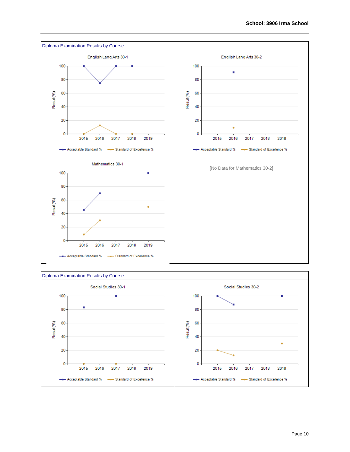



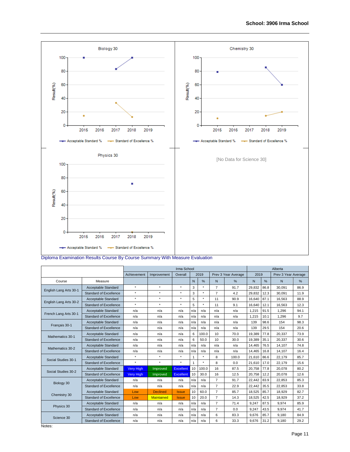

Diploma Examination Results Course By Course Summary With Measure Evaluation

|                        |                               | Irma School      |                   |              |              |          |                |                     |        | Alberta |                     |      |  |
|------------------------|-------------------------------|------------------|-------------------|--------------|--------------|----------|----------------|---------------------|--------|---------|---------------------|------|--|
|                        |                               | Achievement      | Improvement       | Overall      |              | 2019     |                | Prev 3 Year Average | 2019   |         | Prev 3 Year Average |      |  |
| Course                 | Measure                       |                  |                   |              | $\mathsf{N}$ | %        | N              | %                   | N      | %       | N                   | %    |  |
|                        | Acceptable Standard           | $^\star$         | $\star$           | $\star$      | 3            | $\star$  | $\overline{7}$ | 91.7                | 29,832 | 86.8    | 30,091              | 86.9 |  |
| English Lang Arts 30-1 | <b>Standard of Excellence</b> | $^\star$         | $\star$           | $\star$      | 3            | $\star$  | 7              | 4.2                 | 29,832 | 12.3    | 30.091              | 11.9 |  |
| English Lang Arts 30-2 | Acceptable Standard           | $\star$          | $\star$           | $\star$      | 5            | $\star$  | 11             | 90.9                | 16,640 | 87.1    | 16,563              | 88.9 |  |
|                        | <b>Standard of Excellence</b> | $\star$          | $\star$           | $\star$      | 5            | $\star$  | 11             | 9.1                 | 16,640 | 12.1    | 16,563              | 12.3 |  |
| French Lang Arts 30-1  | Acceptable Standard           | n/a              | n/a               | n/a          | n/a          | n/a      | n/a            | n/a                 | 1.215  | 91.5    | 1.296               | 94.1 |  |
|                        | Standard of Excellence        | n/a              | n/a               | n/a          | n/a          | n/a      | n/a            | n/a                 | 1,215  | 10.1    | 1,296               | 9.7  |  |
| Français 30-1          | Acceptable Standard           | n/a              | n/a               | n/a          | n/a          | n/a      | n/a            | n/a                 | 139    | 98.6    | 154                 | 98.3 |  |
|                        | Standard of Excellence        | n/a              | n/a               | n/a          | n/a          | n/a      | n/a            | n/a                 | 139    | 29.5    | 154                 | 20.6 |  |
| Mathematics 30-1       | Acceptable Standard           | n/a              | n/a               | n/a          | 6            | 100.0    | 10             | 70.0                | 19,389 | 77.8    | 20,337              | 73.9 |  |
|                        | <b>Standard of Excellence</b> | n/a              | n/a               | n/a          | 6            | 50.0     | 10             | 30.0                | 19,389 | 35.1    | 20,337              | 30.6 |  |
| Mathematics 30-2       | Acceptable Standard           | n/a              | n/a               | n/a          | n/a          | n/a      | n/a            | n/a                 | 14.465 | 76.5    | 14.107              | 74.8 |  |
|                        | Standard of Excellence        | n/a              | n/a               | n/a          | n/a          | n/a      | n/a            | n/a                 | 14.465 | 16.8    | 14,107              | 16.4 |  |
| Social Studies 30-1    | Acceptable Standard           | $^\star$         | $\star$           | $\star$      | $\mathbf{1}$ | $^\star$ | 8              | 100.0               | 21.610 | 86.6    | 22.179              | 85.7 |  |
|                        | <b>Standard of Excellence</b> | $\star$          | $\star$           | $\star$      |              | $\star$  | 8              | 0.0                 | 21.610 | 17.0    | 22.179              | 15.6 |  |
| Social Studies 30-2    | Acceptable Standard           | <b>Very High</b> | Improved          | Excellent    | 10           | 100.0    | 16             | 87.5                | 20,758 | 77.8    | 20,078              | 80.2 |  |
|                        | <b>Standard of Excellence</b> | <b>Very High</b> | Improved          | Excellent    | 10           | 30.0     | 16             | 12.5                | 20.758 | 12.2    | 20.078              | 12.6 |  |
| Biology 30             | Acceptable Standard           | n/a              | n/a               | n/a          | n/a          | n/a      | $\overline{7}$ | 91.7                | 22.442 | 83.9    | 22,853              | 85.3 |  |
|                        | <b>Standard of Excellence</b> | n/a              | n/a               | n/a          | n/a          | n/a      | $\overline{7}$ | 22.9                | 22,442 | 35.5    | 22,853              | 33.8 |  |
| Chemistry 30           | Acceptable Standard           | Low              | <b>Declined</b>   | <b>Issue</b> | 10           | 60.0     | $\overline{7}$ | 85.7                | 18,525 | 85.7    | 18,929              | 82.7 |  |
|                        | Standard of Excellence        | Low              | <b>Maintained</b> | <b>Issue</b> | 10           | 20.0     | $\overline{7}$ | 14.3                | 18,525 | 42.5    | 18,929              | 37.2 |  |
| Physics 30             | Acceptable Standard           | n/a              | n/a               | n/a          | n/a          | n/a      | 7              | 71.4                | 9,247  | 87.5    | 9,974               | 85.9 |  |
|                        | <b>Standard of Excellence</b> | n/a              | n/a               | n/a          | n/a          | n/a      | $\overline{7}$ | 0.0                 | 9.247  | 43.5    | 9.974               | 41.7 |  |
| Science 30             | Acceptable Standard           | n/a              | n/a               | n/a          | n/a          | n/a      | 6              | 83.3                | 9,676  | 85.7    | 9,180               | 84.9 |  |
|                        | <b>Standard of Excellence</b> | n/a              | n/a               | n/a          | n/a          | n/a      | 6              | 33.3                | 9,676  | 31.2    | 9,180               | 29.2 |  |

Notes: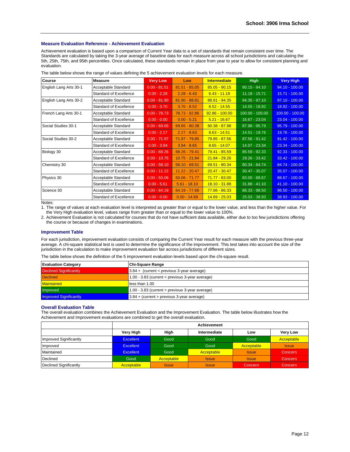#### **Measure Evaluation Reference - Achievement Evaluation**

Achievement evaluation is based upon a comparison of Current Year data to a set of standards that remain consistent over time. The Standards are calculated by taking the 3-year average of baseline data for each measure across all school jurisdictions and calculating the 5th, 25th, 75th, and 95th percentiles. Once calculated, these standards remain in place from year to year to allow for consistent planning and evaluation.

| <b>Course</b>          | <b>Measure</b>                | <b>Very Low</b> | Low             | <b>Intermediate</b> | <b>High</b>       | <b>Very High</b>  |
|------------------------|-------------------------------|-----------------|-----------------|---------------------|-------------------|-------------------|
| English Lang Arts 30-1 | Acceptable Standard           | $0.00 - 81.51$  | $81.51 - 85.05$ | $85.05 - 90.15$     | $90.15 - 94.10$   | $94.10 - 100.00$  |
|                        | Standard of Excellence        | $0.00 - 2.28$   | $2.28 - 6.43$   | $6.43 - 11.18$      | $11.18 - 15.71$   | 15.71 - 100.00    |
| English Lang Arts 30-2 | Acceptable Standard           | $0.00 - 81.90$  | $81.90 - 88.81$ | $88.81 - 94.35$     | $94.35 - 97.10$   | $97.10 - 100.00$  |
|                        | Standard of Excellence        | $0.00 - 3.70$   | $3.70 - 8.52$   | $8.52 - 14.55$      | $14.55 - 18.92$   | 18.92 - 100.00    |
| French Lang Arts 30-1  | Acceptable Standard           | $0.00 - 78.73$  | 78.73 - 92.86   | $92.86 - 100.00$    | $100.00 - 100.00$ | $100.00 - 100.00$ |
|                        | Standard of Excellence        | $0.00 - 0.00$   | $0.00 - 5.21$   | $5.21 - 16.67$      | 16.67 - 23.04     | $23.04 - 100.00$  |
| Social Studies 30-1    | Acceptable Standard           | $0.00 - 69.65$  | $69.65 - 80.38$ | $80.38 - 87.98$     | 87.98 - 95.79     | $95.79 - 100.00$  |
|                        | <b>Standard of Excellence</b> | $0.00 - 2.27$   | $2.27 - 8.63$   | $8.63 - 14.51$      | 14.51 - 19.76     | 19.76 - 100.00    |
| Social Studies 30-2    | Acceptable Standard           | $0.00 - 71.97$  | 71.97 - 79.85   | 79.85 - 87.56       | $87.56 - 91.42$   | $91.42 - 100.00$  |
|                        | Standard of Excellence        | $0.00 - 3.94$   | $3.94 - 8.65$   | $8.65 - 14.07$      | 14.07 - 23.34     | $23.34 - 100.00$  |
| Biology 30             | Acceptable Standard           | $0.00 - 68.26$  | 68.26 - 79.41   | 79.41 - 85.59       | $85.59 - 92.33$   | $92.33 - 100.00$  |
|                        | Standard of Excellence        | $0.00 - 10.75$  | $10.75 - 21.84$ | $21.84 - 29.26$     | 29.26 - 33.42     | 33.42 - 100.00    |
| Chemistry 30           | Acceptable Standard           | $0.00 - 58.10$  | $58.10 - 69.51$ | $69.51 - 80.34$     | 80.34 - 84.74     | 84.74 - 100.00    |
|                        | Standard of Excellence        | $0.00 - 11.22$  | $11.22 - 20.47$ | $20.47 - 30.47$     | $30.47 - 35.07$   | 35.07 - 100.00    |
| Physics 30             | Acceptable Standard           | $0.00 - 50.06$  | $50.06 - 71.77$ | $71.77 - 83.00$     | 83.00 - 88.67     | 88.67 - 100.00    |
|                        | Standard of Excellence        | $0.00 - 5.61$   | $5.61 - 18.10$  | $18.10 - 31.88$     | $31.88 - 41.10$   | 41.10 - 100.00    |
| Science 30             | Acceptable Standard           | $0.00 - 64.19$  | 64.19 - 77.66   | $77.66 - 86.33$     | $86.33 - 98.50$   | $98.50 - 100.00$  |
|                        | Standard of Excellence        | $0.00 - 0.00$   | $0.00 - 14.69$  | $14.69 - 25.03$     | $25.03 - 38.93$   | 38.93 - 100.00    |

The table below shows the range of values defining the 5 achievement evaluation levels for each measure.

Notes:

1. The range of values at each evaluation level is interpreted as greater than or equal to the lower value, and less than the higher value. For the Very High evaluation level, values range from greater than or equal to the lower value to 100%.

2. Achievement Evaluation is not calculated for courses that do not have sufficient data available, either due to too few jurisdictions offering the course or because of changes in examinations.

#### **Improvement Table**

For each jurisdiction, improvement evaluation consists of comparing the Current Year result for each measure with the previous three-year average. A chi-square statistical test is used to determine the significance of the improvement. This test takes into account the size of the jurisdiction in the calculation to make improvement evaluation fair across jurisdictions of different sizes.

The table below shows the definition of the 5 improvement evaluation levels based upon the chi-square result.

| <b>Evaluation Category</b>    | <b>Chi-Square Range</b>                             |
|-------------------------------|-----------------------------------------------------|
| Declined Significantly        | $3.84 +$ (current < previous 3-year average)        |
| <b>Declined</b>               | 1.00 - 3.83 (current $\lt$ previous 3-year average) |
| <b>Maintained</b>             | less than 1.00                                      |
| Improved                      | 1.00 - 3.83 (current > previous 3-year average)     |
| <b>Improved Significantly</b> | $3.84 +$ (current > previous 3-year average)        |

#### **Overall Evaluation Table**

The overall evaluation combines the Achievement Evaluation and the Improvement Evaluation. The table below illustrates how the Achievement and Improvement evaluations are combined to get the overall evaluation.

|                        |                  |              | <b>Achievement</b> |              |                 |
|------------------------|------------------|--------------|--------------------|--------------|-----------------|
|                        | Very High        | High         | Intermediate       | Low          | <b>Very Low</b> |
| Improved Significantly | <b>Excellent</b> | Good         | Good               | Good         | Acceptable      |
| Improved               | <b>Excellent</b> | Good         | Good               | Acceptable   | <b>Issue</b>    |
| Maintained             | <b>Excellent</b> | Good         | Acceptable         | <b>Issue</b> | Concern         |
| Declined               | Good             | Acceptable   | <b>Issue</b>       | <b>Issue</b> | Concern         |
| Declined Significantly | Acceptable       | <b>Issue</b> | <b>Issue</b>       | Concern      | Concern         |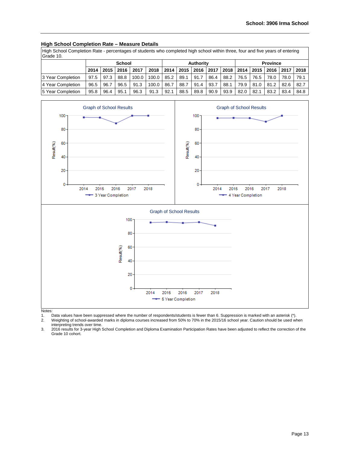# **High School Completion Rate – Measure Details**

High School Completion Rate - percentages of students who completed high school within three, four and five years of entering Grade 10.

|                    |      |                              | <b>School</b> |       |       |      |      | Authority |                           |      |      |             | <b>Province</b> |      |      |
|--------------------|------|------------------------------|---------------|-------|-------|------|------|-----------|---------------------------|------|------|-------------|-----------------|------|------|
|                    | 2014 | 2018<br>2017<br>2015<br>2016 |               |       |       |      |      |           | 2014   2015   2016   2017 | 2018 |      | 2014   2015 | 2016            | 2017 | 2018 |
| 13 Year Completion | 97.5 | 97.3                         | 88.8          | 100.0 | 100.0 | 85.2 | 89.1 | 91.7      | 86.4                      | 88.2 | 76.5 | 76.5        | 78.0            | 78.0 | 79.1 |
| 4 Year Completion  | 96.5 | 96.7                         | 96.5          | 91.3  | 100.0 | 86.7 | 88.7 | 91.4      | 93.7                      | 88.1 | 79.9 | 81.0        | 81.2            | 82.6 | 82.7 |
| 15 Year Completion | 95.8 | 96.4                         | 95.1          | 96.3  | 91.3  | 92.1 | 88.5 | 89.8      | 90.9                      | 93.9 | 82.0 | 82.1        | 83.2            | 83.4 | 84.8 |



Notes:

1. Data values have been suppressed where the number of respondents/students is fewer than 6. Suppression is marked with an asterisk (\*).

2. Weighting of school-awarded marks in diploma courses increased from 50% to 70% in the 2015/16 school year. Caution should be used when interpreting trends over time.

3. 2016 results for 3-year High School Completion and Diploma Examination Participation Rates have been adjusted to reflect the correction of the Grade 10 cohort.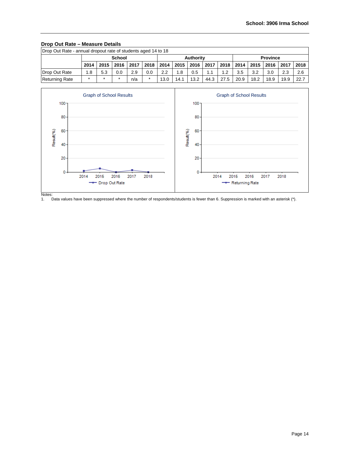# **Drop Out Rate – Measure Details**

| Drop Out Rate - annual dropout rate of students aged 14 to 18                                        |         |     |               |     |         |      |      |           |      |      |      |      |                 |      |      |
|------------------------------------------------------------------------------------------------------|---------|-----|---------------|-----|---------|------|------|-----------|------|------|------|------|-----------------|------|------|
|                                                                                                      |         |     | <b>School</b> |     |         |      |      | Authority |      |      |      |      | <b>Province</b> |      |      |
| 2018<br>2018 2014 2015 2016  <br>  2014   2015   2016   2017<br>2017<br>2015<br>2016<br>2017<br>2014 |         |     |               |     |         |      |      |           |      |      |      |      |                 | 2018 |      |
| Drop Out Rate                                                                                        | 1.8     | 5.3 | 0.0           | 2.9 | 0.0     | 2.2  | 1.8  | 0.5       | 1.1  | 1.2  | 3.5  | 3.2  | 3.0             | 2.3  | 2.6  |
| <b>Returning Rate</b>                                                                                | $\star$ |     |               | n/a | $\star$ | 13.0 | 14.1 | 13.2      | 44.3 | 27.5 | 20.9 | 18.2 | 18.9            | 19.9 | 22.7 |



Notes:<br>1. [ Data values have been suppressed where the number of respondents/students is fewer than 6. Suppression is marked with an asterisk (\*).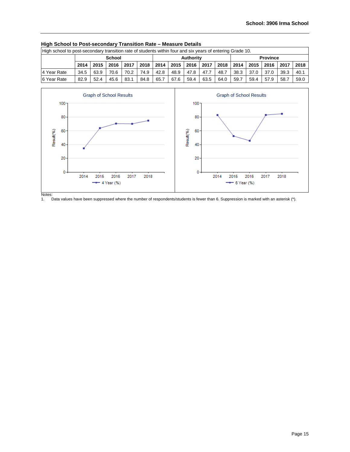| High school to post-secondary transition rate of students within four and six years of entering Grade 10.     |      |      |               |      |      |      |      |           |      |      |      |      |                 |      |      |
|---------------------------------------------------------------------------------------------------------------|------|------|---------------|------|------|------|------|-----------|------|------|------|------|-----------------|------|------|
|                                                                                                               |      |      | <b>School</b> |      |      |      |      | Authority |      |      |      |      | <b>Province</b> |      |      |
| 2014   2015  <br>2018<br>2016<br>2017<br>2014<br>2014<br>2017<br>2018<br>2015<br>2016<br>2015<br>2016<br>2017 |      |      |               |      |      |      |      |           |      |      |      |      | 2018            |      |      |
| 4 Year Rate                                                                                                   | 34.5 | 63.9 | 70.6          | 70.2 | 74.9 | 42.8 | 48.9 | 47.8      | 47.7 | 48.7 | 38.3 | 37.0 | 37.0            | 39.3 | 40.1 |
| 6 Year Rate                                                                                                   | 82.9 | 52.4 | 45.6          | 83.1 | 84.8 | 65.7 | 67.6 | 59.4      | 63.5 | 64.0 | 59.7 | 59.4 | 57.9            | 58.7 | 59.0 |

# **High School to Post-secondary Transition Rate – Measure Details**



Notes:<br>1. [ Data values have been suppressed where the number of respondents/students is fewer than 6. Suppression is marked with an asterisk (\*).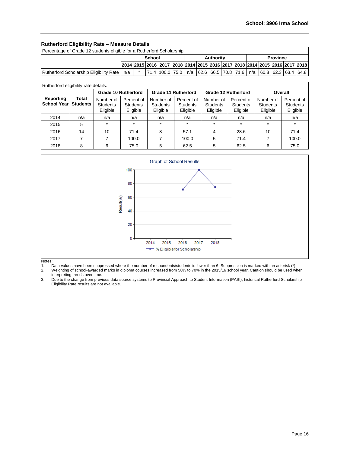# **Rutherford Eligibility Rate – Measure Details**

| Percentage of Grade 12 students eligible for a Rutherford Scholarship.                                                      |     |  |  |                                                                                                                                                                   |  |  |  |  |  |  |  |  |  |  |  |
|-----------------------------------------------------------------------------------------------------------------------------|-----|--|--|-------------------------------------------------------------------------------------------------------------------------------------------------------------------|--|--|--|--|--|--|--|--|--|--|--|
| <b>Province</b><br><b>Authority</b><br>School<br>2014 2015 2016 2017 2018 2014 2015 2016 2017 2018 2014 2015 2016 2017 2018 |     |  |  |                                                                                                                                                                   |  |  |  |  |  |  |  |  |  |  |  |
|                                                                                                                             |     |  |  |                                                                                                                                                                   |  |  |  |  |  |  |  |  |  |  |  |
| Rutherford Scholarship Eligibility Rate                                                                                     | n/a |  |  | $\mid$ 71.4 $\mid$ 100.0 $\mid$ 75.0 $\mid$ n/a $\mid$ 62.6 $\mid$ 66.5 $\mid$ 70.8 $\mid$ 71.6 $\mid$ n/a $\mid$ 60.8 $\mid$ 62.3 $\mid$ 63.4 $\mid$ 64.8 $\mid$ |  |  |  |  |  |  |  |  |  |  |  |

| Rutherford eligibility rate details. |                          |                                          |                                           |                                          |                                           |                                          |                                           |                                          |                                           |
|--------------------------------------|--------------------------|------------------------------------------|-------------------------------------------|------------------------------------------|-------------------------------------------|------------------------------------------|-------------------------------------------|------------------------------------------|-------------------------------------------|
|                                      |                          |                                          | <b>Grade 10 Rutherford</b>                |                                          | Grade 11 Rutherford                       |                                          | <b>Grade 12 Rutherford</b>                |                                          | Overall                                   |
| Reporting<br> School Year            | Total<br><b>Students</b> | Number of<br><b>Students</b><br>Eligible | Percent of<br><b>Students</b><br>Eligible | Number of<br><b>Students</b><br>Eligible | Percent of<br><b>Students</b><br>Eligible | Number of<br><b>Students</b><br>Eligible | Percent of<br><b>Students</b><br>Eligible | Number of<br><b>Students</b><br>Eligible | Percent of<br><b>Students</b><br>Eligible |
| 2014                                 | n/a                      | n/a                                      | n/a                                       | n/a                                      | n/a                                       | n/a                                      | n/a                                       | n/a                                      | n/a                                       |
| 2015                                 | 5                        | $\star$                                  | $\star$                                   | $\star$                                  | $\star$                                   | $\ast$                                   | $\star$                                   | $\star$                                  |                                           |
| 2016                                 | 14                       | 10                                       | 71.4                                      | 8                                        | 57.1                                      | 4                                        | 28.6                                      | 10                                       | 71.4                                      |
| 2017                                 |                          |                                          | 100.0                                     |                                          | 100.0                                     | 5                                        | 71.4                                      |                                          | 100.0                                     |
| 2018                                 | 8                        | 6                                        | 75.0                                      | 5                                        | 62.5                                      | 5                                        | 62.5                                      | 6                                        | 75.0                                      |



Notes:<br>1.

1. Data values have been suppressed where the number of respondents/students is fewer than 6. Suppression is marked with an asterisk (\*).

2. Weighting of school-awarded marks in diploma courses increased from 50% to 70% in the 2015/16 school year. Caution should be used when interpreting trends over time.

3. Due to the change from previous data source systems to Provincial Approach to Student Information (PASI), historical Rutherford Scholarship Eligibility Rate results are not available.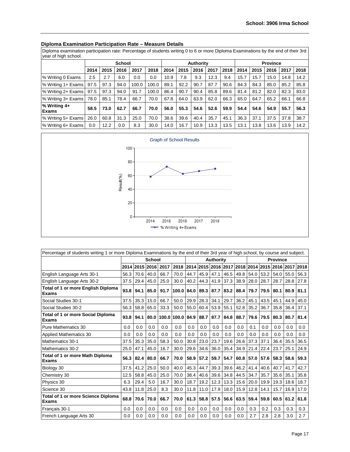| Diploma examination participation rate: Percentage of students writing 0 to 6 or more Diploma Examinations by the end of their 3rd<br>year of high school. |      |      |               |       |       |      |      |                  |      |      |      |      |                 |      |      |
|------------------------------------------------------------------------------------------------------------------------------------------------------------|------|------|---------------|-------|-------|------|------|------------------|------|------|------|------|-----------------|------|------|
|                                                                                                                                                            |      |      | <b>School</b> |       |       |      |      | <b>Authority</b> |      |      |      |      | <b>Province</b> |      |      |
|                                                                                                                                                            | 2014 | 2015 | 2016          | 2017  | 2018  | 2014 | 2015 | 2016             | 2017 | 2018 | 2014 | 2015 | 2016            | 2017 | 2018 |
| % Writing 0 Exams                                                                                                                                          | 2.5  | 2.7  | 6.0           | 0.0   | 0.0   | 10.9 | 7.8  | 9.3              | 12.3 | 9.4  | 15.7 | 15.7 | 15.0            | 14.8 | 14.2 |
| % Writing 1+ Exams                                                                                                                                         | 97.5 | 97.3 | 94.0          | 100.0 | 100.0 | 89.1 | 92.2 | 90.7             | 87.7 | 90.6 | 84.3 | 84.3 | 85.0            | 85.2 | 85.8 |
| % Writing 2+ Exams                                                                                                                                         | 97.5 | 97.3 | 94.0          | 91.7  | 100.0 | 86.4 | 90.7 | 90.4             | 85.8 | 89.6 | 81.4 | 81.2 | 82.0            | 82.3 | 83.0 |
| % Writing 3+ Exams                                                                                                                                         | 78.0 | 85.1 | 78.4          | 66.7  | 70.0  | 67.8 | 64.0 | 63.9             | 62.0 | 66.3 | 65.0 | 64.7 | 65.2            | 66.1 | 66.8 |
| % Writing 4+<br><b>Exams</b>                                                                                                                               | 58.5 | 73.0 | 62.7          | 66.7  | 70.0  | 56.0 | 55.3 | 54.6             | 52.6 | 59.9 | 54.4 | 54.6 | 54.9            | 55.7 | 56.3 |
| % Writing 5+ Exams                                                                                                                                         | 26.0 | 60.8 | 31.3          | 25.0  | 70.0  | 38.6 | 39.6 | 40.4             | 35.7 | 45.1 | 36.3 | 37.1 | 37.5            | 37.8 | 38.7 |
| % Writing 6+ Exams                                                                                                                                         | 0.0  | 12.2 | 0.0           | 8.3   | 30.0  | 14.0 | 16.7 | 10.9             | 13.3 | 13.5 | 13.1 | 13.8 | 13.6            | 13.9 | 14.2 |

# **Diploma Examination Participation Rate – Measure Details**



| Percentage of students writing 1 or more Diploma Examinations by the end of their 3rd year of high school, by course and subject. |      |                                                                                     |        |      |                  |      |      |           |      |      |           |      |                 |      |      |
|-----------------------------------------------------------------------------------------------------------------------------------|------|-------------------------------------------------------------------------------------|--------|------|------------------|------|------|-----------|------|------|-----------|------|-----------------|------|------|
|                                                                                                                                   |      |                                                                                     | School |      |                  |      |      | Authority |      |      |           |      | <b>Province</b> |      |      |
|                                                                                                                                   |      | 2014 2015 2016 2017 2018 2014 2015 2016 2017 2018<br>2014 2015 2016<br>2017<br>2018 |        |      |                  |      |      |           |      |      |           |      |                 |      |      |
| English Language Arts 30-1                                                                                                        | 56.3 | 70.6                                                                                | 40.0   | 66.7 | 70.0             | 44.7 | 45.9 | 47.1      | 46.5 | 49.8 | 54.0 53.2 |      | 54.0            | 55.0 | 56.3 |
| English Language Arts 30-2                                                                                                        | 37.5 | 29.4                                                                                | 45.0   | 25.0 | 30.0             | 40.2 | 44.3 | 41.9      | 37.3 | 38.9 | 28.0      | 28.7 | 28.7            | 28.8 | 27.8 |
| Total of 1 or more English Diploma<br><b>Exams</b>                                                                                | 93.8 | 94.1                                                                                | 85.0   | 91.7 | 100.0 84.0       |      | 89.3 | 87.7      | 83.2 | 88.4 | 79.7      | 79.5 | 80.1            | 80.9 | 81.1 |
| Social Studies 30-1                                                                                                               | 37.5 | 35.3                                                                                | 15.0   | 66.7 | 50.0             | 29.9 | 28.3 | 34.1      | 29.7 | 36.2 | 45.1      | 43.5 | 45.1            | 44.9 | 45.0 |
| Social Studies 30-2                                                                                                               | 56.3 | 58.8                                                                                | 65.0   | 33.3 | 50.0             | 55.0 | 60.4 | 53.9      | 55.1 | 52.8 | 35.2      | 36.7 | 35.8            | 36.4 | 37.1 |
| <b>Total of 1 or more Social Diploma</b><br>Exams                                                                                 | 93.8 | 94.1                                                                                | 80.0   |      | 100.0 100.0 84.9 |      | 88.7 | 87.7      | 84.8 | 88.7 | 79.6      | 79.5 | 80.3            | 80.7 | 81.4 |
| Pure Mathematics 30                                                                                                               | 0.0  | 0.0                                                                                 | 0.0    | 0.0  | 0.0              | 0.0  | 0.0  | 0.0       | 0.0  | 0.0  | 0.1       | 0.0  | 0.0             | 0.0  | 0.0  |
| <b>Applied Mathematics 30</b>                                                                                                     | 0.0  | 0.0                                                                                 | 0.0    | 0.0  | 0.0              | 0.0  | 0.0  | 0.0       | 0.0  | 0.0  | 0.0       | 0.0  | 0.0             | 0.0  | 0.0  |
| Mathematics 30-1                                                                                                                  | 37.5 | 35.3                                                                                | 35.0   | 58.3 | 50.0             | 30.8 | 23.0 | 23.7      | 19.6 | 26.6 | 37.3      | 37.1 | 36.4            | 35.5 | 36.5 |
| Mathematics 30-2                                                                                                                  | 25.0 | 47.1                                                                                | 45.0   | 16.7 | 30.0             | 29.6 | 34.6 | 36.0      | 35.4 | 34.9 | 21.4      | 22.4 | 23.7            | 25.1 | 24.9 |
| Total of 1 or more Math Diploma<br>Exams                                                                                          | 56.3 | 82.4                                                                                | 80.0   | 66.7 | 70.0             | 58.9 | 57.2 | 59.7      | 54.7 | 60.8 | 57.0      | 57.6 | 58.3            | 58.6 | 59.3 |
| Biology 30                                                                                                                        | 37.5 | 41.2                                                                                | 25.0   | 50.0 | 40.0             | 45.3 | 44.7 | 39.3      | 39.6 | 46.2 | 41.4      | 40.6 | 40.7            | 41.7 | 42.7 |
| Chemistry 30                                                                                                                      | 12.5 | 58.8                                                                                | 45.0   | 25.0 | 70.0             | 38.4 | 40.6 | 39.6      | 34.8 | 44.5 | 34.7      | 35.7 | 35.6            | 35.1 | 35.8 |
| Physics 30                                                                                                                        | 6.3  | 29.4                                                                                | 5.0    | 16.7 | 30.0             | 18.7 | 19.2 | 12.3      | 13.3 | 15.6 | 20.0      | 19.9 | 19.3            | 18.6 | 18.7 |
| Science 30                                                                                                                        | 43.8 | 11.8                                                                                | 25.0   | 8.3  | 30.0             | 11.8 | 11.0 | 17.9      | 18.0 | 15.9 | 12.8      | 14.1 | 15.7            | 16.9 | 17.0 |
| <b>Total of 1 or more Science Diploma</b><br><b>Exams</b>                                                                         | 68.8 | 70.6                                                                                | 70.0   | 66.7 | 70.0             | 61.3 | 58.8 | 57.5      | 56.6 | 63.5 | 59.4      | 59.8 | 60.5            | 61.2 | 61.8 |
| Français 30-1                                                                                                                     | 0.0  | 0.0                                                                                 | 0.0    | 0.0  | 0.0              | 0.0  | 0.0  | 0.0       | 0.0  | 0.0  | 0.3       | 0.2  | 0.3             | 0.3  | 0.3  |
| French Language Arts 30                                                                                                           | 0.0  | 0.0                                                                                 | 0.0    | 0.0  | 0.0              | 0.0  | 0.0  | 0.0       | 0.0  | 0.0  | 2.7       | 2.8  | 2.8             | 3.0  | 2.7  |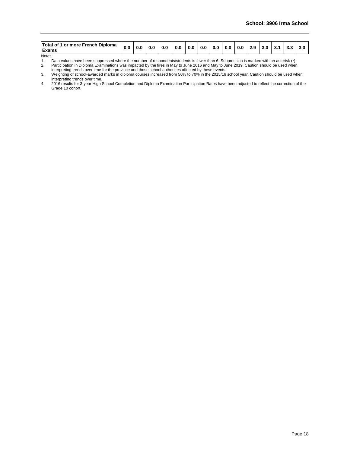| <b>Total of 1 or more French Diploma</b> | .u | 0.0 | 0.0 <sub>1</sub> | 0.0 | 0.0 | 0.0 | 0.0 | 0.0 | 0.0 | 0.L | 2.9 | -3.0 | J. | v. |  |
|------------------------------------------|----|-----|------------------|-----|-----|-----|-----|-----|-----|-----|-----|------|----|----|--|
| <b>Exams</b>                             |    |     |                  |     |     |     |     |     |     |     |     |      |    |    |  |

Notes:<br>1.

1. Data values have been suppressed where the number of respondents/students is fewer than 6. Suppression is marked with an asterisk (\*).

2. Participation in Diploma Examinations was impacted by the fires in May to June 2016 and May to June 2019. Caution should be used when interpreting trends over time for the province and those school authorities affected by these events.

3. Weighting of school-awarded marks in diploma courses increased from 50% to 70% in the 2015/16 school year. Caution should be used when interpreting trends over time.

4. 2016 results for 3-year High School Completion and Diploma Examination Participation Rates have been adjusted to reflect the correction of the Grade 10 cohort.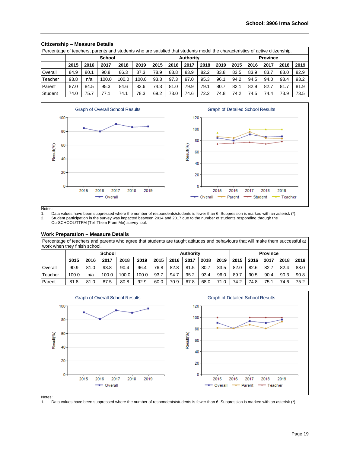| Percentage of teachers, parents and students who are satisfied that students model the characteristics of active citizenship. |      |      |               |       |       |      |      |                  |      |      |      |      |                 |      |      |
|-------------------------------------------------------------------------------------------------------------------------------|------|------|---------------|-------|-------|------|------|------------------|------|------|------|------|-----------------|------|------|
|                                                                                                                               |      |      | <b>School</b> |       |       |      |      | <b>Authority</b> |      |      |      |      | <b>Province</b> |      |      |
|                                                                                                                               | 2015 | 2016 | 2017          | 2018  | 2019  | 2015 | 2016 | 2017             | 2018 | 2019 | 2015 | 2016 | 2017            | 2018 | 2019 |
| Overall                                                                                                                       | 84.9 | 80.1 | 90.8          | 86.3  | 87.3  | 78.9 | 83.8 | 83.9             | 82.2 | 83.8 | 83.5 | 83.9 | 83.7            | 83.0 | 82.9 |
| Teacher                                                                                                                       | 93.8 | n/a  | 100.0         | 100.0 | 100.0 | 93.3 | 97.3 | 97.0             | 95.3 | 96.1 | 94.2 | 94.5 | 94.0            | 93.4 | 93.2 |
| Parent                                                                                                                        | 87.0 | 84.5 | 95.3          | 84.6  | 83.6  | 74.3 | 81.0 | 79.9             | 79.1 | 80.7 | 82.1 | 82.9 | 82.7            | 81.7 | 81.9 |
| Student                                                                                                                       | 74.0 | 75.7 | 77.1          | 74.1  | 78.3  | 69.2 | 73.0 | 74.6             | 72.2 | 74.8 | 74.2 | 74.5 | 74.4            | 73.9 | 73.5 |

# **Citizenship – Measure Details**



Notes:<br>1. [ 1. Data values have been suppressed where the number of respondents/students is fewer than 6. Suppression is marked with an asterisk (\*).<br>2. Student participation in the survey was impacted between 2014 and 2017 due to the Student participation in the survey was impacted between 2014 and 2017 due to the number of students responding through the OurSCHOOL/TTFM (Tell Them From Me) survey tool.

#### **Work Preparation – Measure Details**

Percentage of teachers and parents who agree that students are taught attitudes and behaviours that will make them successful at work when they finish school.

|         |       |      | <b>School</b> |       |       |      |      | <b>Authority</b> |      |      |      |      | <b>Province</b> |      |      |
|---------|-------|------|---------------|-------|-------|------|------|------------------|------|------|------|------|-----------------|------|------|
|         | 2015  | 2016 | 2017          | 2018  | 2019  | 2015 | 2016 | 2017             | 2018 | 2019 | 2015 | 2016 | 2017            | 2018 | 2019 |
| Overall | 90.9  | 81.0 | 93.8          | 90.4  | 96.4  | 76.8 | 82.8 | 81.5             | 80.7 | 83.5 | 82.0 | 82.6 | 82.7            | 82.4 | 83.0 |
| Teacher | 100.0 | n/a  | 100.0         | 100.0 | 100.0 | 93.7 | 94.7 | 95.2             | 93.4 | 96.0 | 89.7 | 90.5 | 90.4            | 90.3 | 90.8 |
| Parent  | 81.8  | 81.0 | 87.5          | 80.8  | 92.9  | 60.0 | 70.9 | 67.8             | 68.0 | 71.0 | 74.2 | 74.8 | 75.1            | 74.6 | 75.2 |



Notes:<br>1. [ Data values have been suppressed where the number of respondents/students is fewer than 6. Suppression is marked with an asterisk (\*).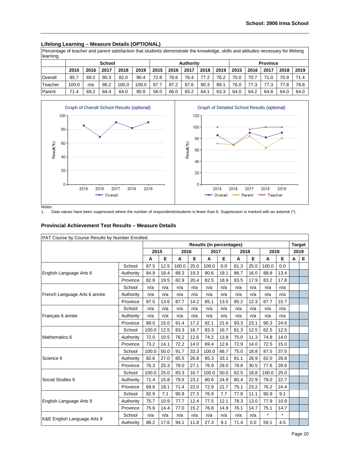# **Lifelong Learning – Measure Details (OPTIONAL)**

Percentage of teacher and parent satisfaction that students demonstrate the knowledge, skills and attitudes necessary for lifelong learning.

| ັ       |       |                              | <b>School</b> |       |       |      |      | Authority |      |      |      |      | <b>Province</b> |      |      |
|---------|-------|------------------------------|---------------|-------|-------|------|------|-----------|------|------|------|------|-----------------|------|------|
|         | 2015  | 2018<br>2019<br>2017<br>2016 |               |       |       |      | 2016 | 2017      | 2018 | 2019 | 2015 | 2016 | 2017            | 2018 | 2019 |
| Overall | 85.7  | 69.2                         | 90.3          | 82.0  | 90.4  | 72.8 | 76.6 | 76.4      | 77.2 | 76.2 | 70.0 | 70.  | 71.0            | 70.9 | 71.4 |
| Teacher | 100.0 | n/a                          | 96.2          | 100.0 | 100.0 | 87.7 | 87.2 | 87.6      | 90.3 | 89.1 | 76.0 | 77.3 | 77.3            | 77.8 | 78.8 |
| Parent  | 71.4  | 69.2                         | 84.4          | 64.0  | 80.8  | 58.0 | 66.0 | 65.2      | 64.1 | 63.3 | 64.0 | 64.2 | 64.8            | 64.0 | 64.0 |



Notes:<br>1. [ Data values have been suppressed where the number of respondents/students is fewer than 6. Suppression is marked with an asterisk (\*).

### **Provincial Achievement Test Results – Measure Details**

| PAT Course by Course Results by Number Enrolled. |           |       |      |       |      |                                 |      |      |      |         |         |   |               |
|--------------------------------------------------|-----------|-------|------|-------|------|---------------------------------|------|------|------|---------|---------|---|---------------|
|                                                  |           |       |      |       |      | <b>Results (in percentages)</b> |      |      |      |         |         |   | <b>Target</b> |
|                                                  |           | 2015  |      | 2016  |      | 2017                            |      | 2018 |      | 2019    |         |   | 2019          |
|                                                  |           | A     | Е    | A     | Е    | A                               | Е    | A    | Е    | A       | Е       | A | Е             |
|                                                  | School    | 87.5  | 12.5 | 100.0 | 25.0 | 100.0                           | 0.0  | 81.3 | 25.0 | 100.0   | 0.0     |   |               |
| English Language Arts 6                          | Authority | 84.9  | 18.4 | 88.3  | 19.3 | 90.6                            | 19.1 | 86.7 | 16.0 | 88.8    | 13.4    |   |               |
|                                                  | Province  | 82.8  | 19.5 | 82.9  | 20.4 | 82.5                            | 18.9 | 83.5 | 17.9 | 83.2    | 17.8    |   |               |
|                                                  | School    | n/a   | n/a  | n/a   | n/a  | n/a                             | n/a  | n/a  | n/a  | n/a     | n/a     |   |               |
| French Language Arts 6 année                     | Authority | n/a   | n/a  | n/a   | n/a  | n/a                             | n/a  | n/a  | n/a  | n/a     | n/a     |   |               |
|                                                  | Province  | 87.5  | 13.6 | 87.7  | 14.2 | 85.1                            | 13.5 | 85.2 | 12.3 | 87.7    | 15.7    |   |               |
|                                                  | School    | n/a   | n/a  | n/a   | n/a  | n/a                             | n/a  | n/a  | n/a  | n/a     | n/a     |   |               |
| Français 6 année                                 | Authority | n/a   | n/a  | n/a   | n/a  | n/a                             | n/a  | n/a  | n/a  | n/a     | n/a     |   |               |
|                                                  | Province  | 89.0  | 15.0 | 91.4  | 17.2 | 92.1                            | 21.6 | 93.3 | 23.1 | 90.3    | 24.6    |   |               |
|                                                  | School    | 100.0 | 12.5 | 83.3  | 16.7 | 83.3                            | 16.7 | 81.3 | 12.5 | 62.5    | 12.5    |   |               |
| Mathematics 6                                    | Authority | 72.0  | 10.5 | 76.2  | 12.6 | 74.2                            | 13.8 | 75.0 | 11.3 | 74.8    | 14.0    |   |               |
|                                                  | Province  | 73.2  | 14.1 | 72.2  | 14.0 | 69.4                            | 12.6 | 72.9 | 14.0 | 72.5    | 15.0    |   |               |
|                                                  | School    | 100.0 | 50.0 | 91.7  | 33.3 | 100.0                           | 66.7 | 75.0 | 18.8 | 87.5    | 37.5    |   |               |
| Science 6                                        | Authority | 82.6  | 27.0 | 85.5  | 26.8 | 85.3                            | 33.1 | 81.1 | 26.9 | 82.0    | 28.8    |   |               |
|                                                  | Province  | 76.3  | 25.3 | 78.0  | 27.1 | 76.9                            | 29.0 | 78.8 | 30.5 | 77.6    | 28.6    |   |               |
|                                                  | School    | 100.0 | 25.0 | 83.3  | 16.7 | 100.0                           | 50.0 | 62.5 | 18.8 | 100.0   | 25.0    |   |               |
| Social Studies 6                                 | Authority | 71.4  | 15.8 | 79.5  | 23.2 | 80.6                            | 24.9 | 80.4 | 22.9 | 79.0    | 22.7    |   |               |
|                                                  | Province  | 69.8  | 18.1 | 71.4  | 22.0 | 72.9                            | 21.7 | 75.1 | 23.2 | 76.2    | 24.4    |   |               |
|                                                  | School    | 92.9  | 7.1  | 90.9  | 27.3 | 76.9                            | 7.7  | 77.8 | 11.1 | 90.9    | 9.1     |   |               |
| English Language Arts 9                          | Authority | 75.7  | 10.9 | 77.7  | 12.4 | 77.5                            | 12.1 | 78.3 | 13.0 | 77.9    | 10.9    |   |               |
|                                                  | Province  | 75.6  | 14.4 | 77.0  | 15.2 | 76.8                            | 14.9 | 76.1 | 14.7 | 75.1    | 14.7    |   |               |
|                                                  | School    | n/a   | n/a  | n/a   | n/a  | n/a                             | n/a  | n/a  | n/a  | $\star$ | $\star$ |   |               |
| K&E English Language Arts 9                      | Authority | 88.2  | 17.6 | 94.1  | 11.8 | 27.3                            | 9.1  | 71.4 | 0.0  | 59.1    | 4.5     |   |               |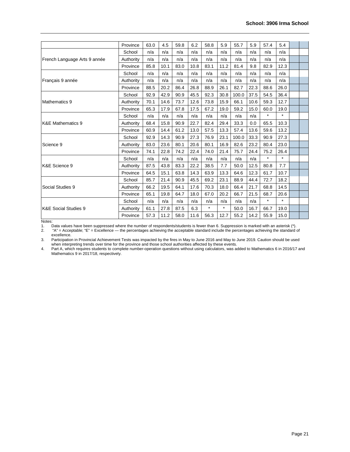|                                 | Province  | 63.0 | 4.5  | 59.8 | 6.2  | 58.8    | 5.9     | 55.7  | 5.9  | 57.4    | 5.4     |  |
|---------------------------------|-----------|------|------|------|------|---------|---------|-------|------|---------|---------|--|
|                                 | School    | n/a  | n/a  | n/a  | n/a  | n/a     | n/a     | n/a   | n/a  | n/a     | n/a     |  |
| French Language Arts 9 année    | Authority | n/a  | n/a  | n/a  | n/a  | n/a     | n/a     | n/a   | n/a  | n/a     | n/a     |  |
|                                 | Province  | 85.8 | 10.1 | 83.0 | 10.8 | 83.1    | 11.2    | 81.4  | 9.8  | 82.9    | 12.3    |  |
|                                 | School    | n/a  | n/a  | n/a  | n/a  | n/a     | n/a     | n/a   | n/a  | n/a     | n/a     |  |
| Français 9 année                | Authority | n/a  | n/a  | n/a  | n/a  | n/a     | n/a     | n/a   | n/a  | n/a     | n/a     |  |
|                                 | Province  | 88.5 | 20.2 | 86.4 | 26.8 | 88.9    | 26.1    | 82.7  | 22.3 | 88.6    | 26.0    |  |
|                                 | School    | 92.9 | 42.9 | 90.9 | 45.5 | 92.3    | 30.8    | 100.0 | 37.5 | 54.5    | 36.4    |  |
| Mathematics 9                   | Authority | 70.1 | 14.6 | 73.7 | 12.6 | 73.8    | 15.9    | 66.1  | 10.6 | 59.3    | 12.7    |  |
|                                 | Province  | 65.3 | 17.9 | 67.8 | 17.5 | 67.2    | 19.0    | 59.2  | 15.0 | 60.0    | 19.0    |  |
|                                 | School    | n/a  | n/a  | n/a  | n/a  | n/a     | n/a     | n/a   | n/a  | $\star$ | $\star$ |  |
| K&E Mathematics 9               | Authority | 68.4 | 15.8 | 90.9 | 22.7 | 82.4    | 29.4    | 33.3  | 0.0  | 65.5    | 10.3    |  |
|                                 | Province  | 60.9 | 14.4 | 61.2 | 13.0 | 57.5    | 13.3    | 57.4  | 13.6 | 59.6    | 13.2    |  |
|                                 | School    | 92.9 | 14.3 | 90.9 | 27.3 | 76.9    | 23.1    | 100.0 | 33.3 | 90.9    | 27.3    |  |
| Science 9                       | Authority | 83.0 | 23.6 | 80.1 | 20.6 | 80.1    | 16.9    | 82.6  | 23.2 | 80.4    | 23.0    |  |
|                                 | Province  | 74.1 | 22.8 | 74.2 | 22.4 | 74.0    | 21.4    | 75.7  | 24.4 | 75.2    | 26.4    |  |
|                                 | School    | n/a  | n/a  | n/a  | n/a  | n/a     | n/a     | n/a   | n/a  | $\star$ | $\star$ |  |
| K&E Science 9                   | Authority | 87.5 | 43.8 | 83.3 | 22.2 | 38.5    | 7.7     | 50.0  | 12.5 | 80.8    | 7.7     |  |
|                                 | Province  | 64.5 | 15.1 | 63.8 | 14.3 | 63.9    | 13.3    | 64.6  | 12.3 | 61.7    | 10.7    |  |
|                                 | School    | 85.7 | 21.4 | 90.9 | 45.5 | 69.2    | 23.1    | 88.9  | 44.4 | 72.7    | 18.2    |  |
| Social Studies 9                | Authority | 66.2 | 19.5 | 64.1 | 17.6 | 70.3    | 18.0    | 66.4  | 21.7 | 68.8    | 14.5    |  |
|                                 | Province  | 65.1 | 19.8 | 64.7 | 18.0 | 67.0    | 20.2    | 66.7  | 21.5 | 68.7    | 20.6    |  |
|                                 | School    | n/a  | n/a  | n/a  | n/a  | n/a     | n/a     | n/a   | n/a  | $\star$ | $\star$ |  |
| <b>K&amp;E Social Studies 9</b> | Authority | 61.1 | 27.8 | 87.5 | 6.3  | $\star$ | $\star$ | 50.0  | 16.7 | 66.7    | 19.0    |  |
|                                 | Province  | 57.3 | 11.2 | 58.0 | 11.6 | 56.3    | 12.7    | 55.2  | 14.2 | 55.9    | 15.0    |  |
|                                 |           |      |      |      |      |         |         |       |      |         |         |  |

Notes:<br>1. [ 1. Data values have been suppressed where the number of respondents/students is fewer than 6. Suppression is marked with an asterisk (\*).<br>2. "A" = Acceptable; "E" = Excellence — the percentages achieving the acceptable sta

2. "A" = Acceptable; "E" = Excellence — the percentages achieving the acceptable standard include the percentages achieving the standard of excellence.

3. Participation in Provincial Achievement Tests was impacted by the fires in May to June 2016 and May to June 2019. Caution should be used when interpreting trends over time for the province and those school authorities affected by these events.

4. Part A, which requires students to complete number-operation questions without using calculators, was added to Mathematics 6 in 2016/17 and Mathematics 9 in 2017/18, respectively.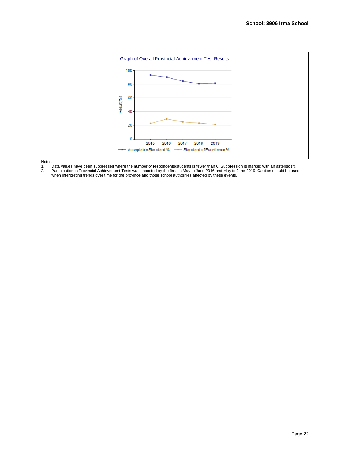

Notes:<br>1. [<br>2. F 1. Data values have been suppressed where the number of respondents/students is fewer than 6. Suppression is marked with an asterisk (\*). 2. Participation in Provincial Achievement Tests was impacted by the fires in May to June 2016 and May to June 2019. Caution should be used when interpreting trends over time for the province and those school authorities affected by these events.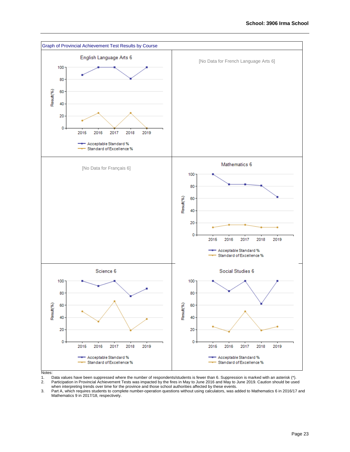

Notes:

1. Data values have been suppressed where the number of respondents/students is fewer than 6. Suppression is marked with an asterisk (\*). 2. Participation in Provincial Achievement Tests was impacted by the fires in May to June 2016 and May to June 2019. Caution should be used

when interpreting trends over time for the province and those school authorities affected by these events.

3. Part A, which requires students to complete number-operation questions without using calculators, was added to Mathematics 6 in 2016/17 and Mathematics 9 in 2017/18, respectively.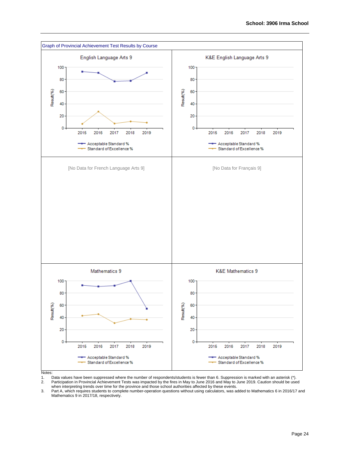

Notes:

1. Data values have been suppressed where the number of respondents/students is fewer than 6. Suppression is marked with an asterisk (\*). 2. Participation in Provincial Achievement Tests was impacted by the fires in May to June 2016 and May to June 2019. Caution should be used

when interpreting trends over time for the province and those school authorities affected by these events.

3. Part A, which requires students to complete number-operation questions without using calculators, was added to Mathematics 6 in 2016/17 and Mathematics 9 in 2017/18, respectively.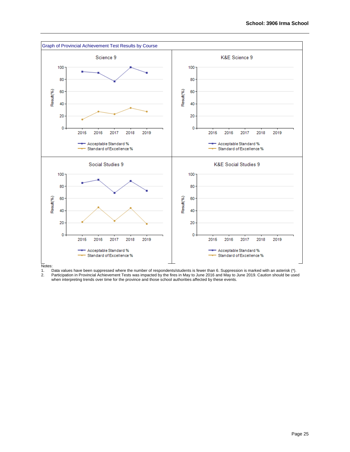

Notes:<br>1. [<br>2. F 1. Data values have been suppressed where the number of respondents/students is fewer than 6. Suppression is marked with an asterisk (\*). 2. Participation in Provincial Achievement Tests was impacted by the fires in May to June 2016 and May to June 2019. Caution should be used

when interpreting trends over time for the province and those school authorities affected by these events.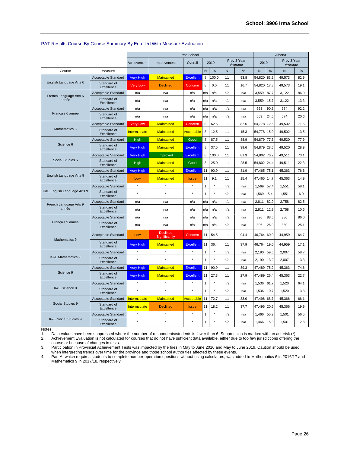|                                 |                            | Irma School         |                                  |                  |              |          |     |                        |             |      | Alberta                |      |
|---------------------------------|----------------------------|---------------------|----------------------------------|------------------|--------------|----------|-----|------------------------|-------------|------|------------------------|------|
|                                 |                            | Achievement         | Improvement                      | Overall          |              | 2019     |     | Prev 3 Year<br>Average | 2019        |      | Prev 3 Year<br>Average |      |
| Course                          | Measure                    |                     |                                  |                  | N            | %        | N   | %                      | N           | %    | N                      | %    |
|                                 | <b>Acceptable Standard</b> | <b>Very High</b>    | <b>Maintained</b>                | <b>Excellent</b> | 8            | 100.0    | 11  | 93.8                   | 54,820      | 83.2 | 49,573                 | 82.9 |
| English Language Arts 6         | Standard of<br>Excellence  | <b>Very Low</b>     | <b>Declined</b>                  | Concern          | 8            | 0.0      | 11  | 16.7                   | 54,820      | 17.8 | 49,573                 | 19.1 |
| French Language Arts 6          | <b>Acceptable Standard</b> | n/a                 | n/a                              | n/a              | n/a          | n/a      | n/a | n/a                    | 3,559       | 87.7 | 3,122                  | 86.0 |
| année                           | Standard of<br>Excellence  | n/a                 | n/a                              | n/a              | n/a          | n/a      | n/a | n/a                    | 3,559       | 15.7 | 3,122                  | 13.3 |
|                                 | Acceptable Standard        | n/a                 | n/a                              | n/a              | n/a          | n/a      | n/a | n/a                    | 663         | 90.3 | 574                    | 92.2 |
| Français 6 année                | Standard of<br>Excellence  | n/a                 | n/a                              | n/a              | n/a          | n/a      | n/a | n/a                    | 663         | 24.6 | 574                    | 20.6 |
|                                 | Acceptable Standard        | <b>Very Low</b>     | <b>Maintained</b>                | Concern          | 8            | 62.5     | 11  | 82.6                   | 54,778      | 72.5 | 49,502                 | 71.5 |
| Mathematics 6                   | Standard of<br>Excellence  | <b>Intermediate</b> | <b>Maintained</b>                | Acceptable       | 8            | 12.5     | 11  | 15.3                   | 54,778      | 15.0 | 49,502                 | 13.5 |
|                                 | Acceptable Standard        | High                | Maintained                       | Good             | 8            | 87.5     | 11  | 88.9                   | 54,879      | 77.6 | 49,520                 | 77.9 |
| Science 6                       | Standard of<br>Excellence  | <b>Very High</b>    | <b>Maintained</b>                | <b>Excellent</b> | 8            | 37.5     | 11  | 39.6                   | 54,879      | 28.6 | 49,520                 | 28.9 |
|                                 | Acceptable Standard        | <b>Very High</b>    | Improved                         | <b>Excellent</b> | 8            | 100.0    | 11  | 81.9                   | 54.802      | 76.2 | 49.511                 | 73.1 |
| Social Studies 6                | Standard of<br>Excellence  | High                | Maintained                       | Good             | 8            | 25.0     | 11  | 28.5                   | 54,802 24.4 |      | 49,511                 | 22.3 |
|                                 | Acceptable Standard        | <b>Very High</b>    | <b>Maintained</b>                | <b>Excellent</b> | 11           | 90.9     | 11  | 81.9                   | 47,465      | 75.1 | 45,363                 | 76.6 |
| English Language Arts 9         | Standard of<br>Excellence  | Low                 | <b>Maintained</b>                | <b>Issue</b>     | 11           | 9.1      | 11  | 15.4                   | 47,465      | 14.7 | 45.363                 | 14.9 |
|                                 | Acceptable Standard        | $\star$             | $\star$                          | $\star$          | 1            | $^\star$ | n/a | n/a                    | 1,569       | 57.4 | 1,551                  | 58.1 |
| K&E English Language Arts 9     | Standard of<br>Excellence  | ×                   | ۸                                |                  | 1            |          | n/a | n/a                    | 1,569       | 5.4  | 1,551                  | 6.0  |
| French Language Arts 9          | Acceptable Standard        | n/a                 | n/a                              | n/a              | n/a          | n/a      | n/a | n/a                    | 2,811       | 82.9 | 2,758                  | 82.5 |
| année                           | Standard of<br>Excellence  | n/a                 | n/a                              | n/a              | n/a          | n/a      | n/a | n/a                    | 2,811       | 12.3 | 2,758                  | 10.6 |
|                                 | Acceptable Standard        | n/a                 | n/a                              | n/a              | n/a          | n/a      | n/a | n/a                    | 396         | 88.6 | 380                    | 86.0 |
| Français 9 année                | Standard of<br>Excellence  | n/a                 | n/a                              | n/a              | n/a          | n/a      | n/a | n/a                    | 396         | 26.0 | 380                    | 25.1 |
| Mathematics 9                   | Acceptable Standard        | Low                 | <b>Declined</b><br>Significantly | Concern          | 11           | 54.5     | 11  | 94.4                   | 46,764      | 60.0 | 44,959                 | 64.7 |
|                                 | Standard of<br>Excellence  | <b>Very High</b>    | <b>Maintained</b>                | <b>Excellent</b> | 11           | 36.4     | 11  | 37.9                   | 46,764      | 19.0 | 44,959                 | 17.1 |
|                                 | Acceptable Standard        | $^\star$            | $^\star$                         | $^\star$         | 1            | $\star$  | n/a | n/a                    | 2,190       | 59.6 | 2,007                  | 58.7 |
| <b>K&amp;E Mathematics 9</b>    | Standard of<br>Excellence  | $\star$             | $\star$                          | ۸                | 1            | $\star$  | n/a | n/a                    | 2,190       | 13.2 | 2.007                  | 13.3 |
|                                 | Acceptable Standard        | <b>Very High</b>    | <b>Maintained</b>                | <b>Excellent</b> | 11           | 90.9     | 11  | 89.3                   | 47,489      | 75.2 | 45,363                 | 74.6 |
| Science 9                       | Standard of<br>Excellence  | <b>Very High</b>    | Maintained                       | <b>Excellent</b> | 11           | 27.3     | 11  | 27.9                   | 47,489      | 26.4 | 45,363                 | 22.7 |
|                                 | Acceptable Standard        | $\star$             | $\star$                          | ż                | 1            | $^\star$ | n/a | n/a                    | 1,536       | 61.7 | 1,520                  | 64.1 |
| K&E Science 9                   | Standard of<br>Excellence  |                     |                                  |                  | 1            |          | n/a | n/a                    | 1,536       | 10.7 | 1,520                  | 13.3 |
|                                 | Acceptable Standard        | <b>Intermediate</b> | <b>Maintained</b>                | Acceptable       | 11           | 72.7     | 11  | 83.0                   | 47,496      | 68.7 | 45,366                 | 66.1 |
| Social Studies 9                | Standard of<br>Excellence  | <b>Intermediate</b> | <b>Declined</b>                  | <b>Issue</b>     | 11           | 18.2     | 11  | 37.7                   | 47,496      | 20.6 | 45,366                 | 19.9 |
|                                 | Acceptable Standard        | $^\star$            | $^\star$                         | $^\star$         | $\mathbf{1}$ | $^\star$ | n/a | n/a                    | 1,466       | 55.9 | 1,501                  | 56.5 |
| <b>K&amp;E Social Studies 9</b> | Standard of<br>Excellence  | $\star$             | $\star$                          | ۸                | $\mathbf{1}$ |          | n/a | n/a                    | 1,466       | 15.0 | 1,501                  | 12.8 |

#### PAT Results Course By Course Summary By Enrolled With Measure Evaluation

Notes:

1. Data values have been suppressed where the number of respondents/students is fewer than 6. Suppression is marked with an asterisk (\*).<br>2. Achievement Evaluation is not calculated for courses that do not have sufficient

2. Achievement Evaluation is not calculated for courses that do not have sufficient data available, either due to too few jurisdictions offering the course or because of changes in tests.

3. Participation in Provincial Achievement Tests was impacted by the fires in May to June 2016 and May to June 2019. Caution should be used when interpreting trends over time for the province and those school authorities affected by these events.

4. Part A, which requires students to complete number-operation questions without using calculators, was added to Mathematics 6 in 2016/17 and Mathematics 9 in 2017/18, respectively.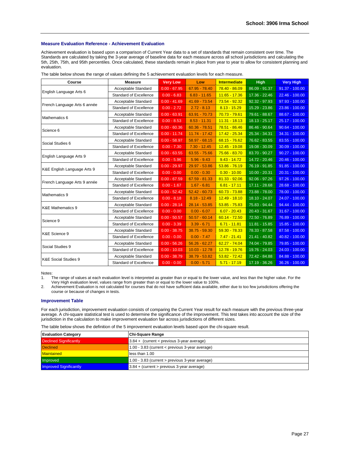#### **Measure Evaluation Reference - Achievement Evaluation**

Achievement evaluation is based upon a comparison of Current Year data to a set of standards that remain consistent over time. The Standards are calculated by taking the 3-year average of baseline data for each measure across all school jurisdictions and calculating the 5th, 25th, 75th, and 95th percentiles. Once calculated, these standards remain in place from year to year to allow for consistent planning and evaluation.

| The table below shows the range of values defining the 5 achievement evaluation levels for each measure. |  |  |
|----------------------------------------------------------------------------------------------------------|--|--|
|                                                                                                          |  |  |

| Course                          | <b>Measure</b>                | <b>Very Low</b> | Low             | <b>Intermediate</b> | <b>High</b>                | <b>Very High</b> |
|---------------------------------|-------------------------------|-----------------|-----------------|---------------------|----------------------------|------------------|
|                                 | Acceptable Standard           | $0.00 - 67.95$  | 67.95 - 78.40   | 78.40 - 86.09       | 86.09 - 91.37              | $91.37 - 100.00$ |
| English Language Arts 6         | <b>Standard of Excellence</b> | $0.00 - 6.83$   | $6.83 - 11.65$  | $11.65 - 17.36$     | $17.36 - 22.46$            | $22.46 - 100.00$ |
|                                 | Acceptable Standard           | $0.00 - 41.69$  | 41.69 - 73.54   | 73.54 - 92.32       | $92.32 - 97.93$            | $97.93 - 100.00$ |
| French Language Arts 6 année    | Standard of Excellence        | $0.00 - 2.72$   | $2.72 - 8.13$   | $8.13 - 15.29$      | 15.29 - 23.86              | $23.86 - 100.00$ |
| Mathematics 6                   | Acceptable Standard           | $0.00 - 63.91$  | 63.91 - 70.73   | $70.73 - 79.61$     | 79.61 - 88.67              | 88.67 - 100.00   |
|                                 | Standard of Excellence        | $0.00 - 8.53$   | $8.53 - 11.31$  | $11.31 - 18.13$     | 18.13 - 25.17              | 25.17 - 100.00   |
|                                 | Acceptable Standard           | $0.00 - 60.36$  | $60.36 - 78.51$ | 78.51 - 86.46       | 86.46 - 90.64              | $90.64 - 100.00$ |
| Science 6                       | <b>Standard of Excellence</b> | $0.00 - 11.74$  | 11.74 - 17.42   | 17.42 - 25.34       | 25.34 - 34.31              | $34.31 - 100.00$ |
|                                 | Acceptable Standard           | $0.00 - 58.97$  | $58.97 - 68.15$ | $68.15 - 76.62$     | 76.62 - 83.55              | 83.55 - 100.00   |
| Social Studies 6                | <b>Standard of Excellence</b> | $0.00 - 7.30$   | $7.30 - 12.45$  | $12.45 - 19.08$     | 19.08 - 30.09              | $30.09 - 100.00$ |
|                                 | Acceptable Standard           | $0.00 - 63.55$  | $63.55 - 75.66$ | 75.66 - 83.70       | 83.70 - 90.27              | $90.27 - 100.00$ |
| English Language Arts 9         | <b>Standard of Excellence</b> | $0.00 - 5.96$   | $5.96 - 9.43$   | $9.43 - 14.72$      | 14.72 - 20.46              | $20.46 - 100.00$ |
|                                 | Acceptable Standard           | $0.00 - 29.97$  | 29.97 - 53.86   | $53.86 - 76.19$     | 76.19 - 91.85              | $91.85 - 100.00$ |
| K&E English Language Arts 9     | <b>Standard of Excellence</b> | $0.00 - 0.00$   | $0.00 - 0.30$   | $0.30 - 10.00$      | $10.00 - 20.31$            | $20.31 - 100.00$ |
|                                 | Acceptable Standard           | $0.00 - 67.59$  | $67.59 - 81.33$ | $81.33 - 92.06$     | $92.06 - 97.26$            | $97.26 - 100.00$ |
| French Language Arts 9 année    | <b>Standard of Excellence</b> | $0.00 - 1.67$   | $1.67 - 6.81$   | $6.81 - 17.11$      | 17.11 - 28.68              | $28.68 - 100.00$ |
|                                 | Acceptable Standard           | $0.00 - 52.42$  | $52.42 - 60.73$ | $60.73 - 73.88$     | 73.88 - 78.00              | 78.00 - 100.00   |
| Mathematics 9                   | <b>Standard of Excellence</b> | $0.00 - 8.18$   | $8.18 - 12.49$  | $12.49 - 18.10$     | 18.10 - 24.07              | 24.07 - 100.00   |
|                                 | Acceptable Standard           | $0.00 - 28.14$  | $28.14 - 53.85$ | $53.85 - 75.83$     | 75.83 - 94.44              | $94.44 - 100.00$ |
| <b>K&amp;E Mathematics 9</b>    | Standard of Excellence        | $0.00 - 0.00$   | $0.00 - 6.07$   | $6.07 - 20.43$      | $20.43 - 31.67$            | $31.67 - 100.00$ |
|                                 | Acceptable Standard           | $0.00 - 50.57$  | $50.57 - 60.14$ | $60.14 - 72.50$     | 72.50 - 76.89              | 76.89 - 100.00   |
| Science 9                       | <b>Standard of Excellence</b> | $0.00 - 3.39$   | $3.39 - 6.71$   | $6.71 - 11.81$      | $11.81 - 15.85$            | $15.85 - 100.00$ |
|                                 | Acceptable Standard           | $0.00 - 38.75$  | $38.75 - 59.30$ | $59.30 - 78.33$     | 78.33 - 87.58              | 87.58 - 100.00   |
| K&E Science 9                   | Standard of Excellence        | $0.00 - 0.00$   | $0.00 - 7.47$   | $7.47 - 21.41$      | $21.41 - 40.82$            | 40.82 - 100.00   |
|                                 | Acceptable Standard           | $0.00 - 56.26$  | $56.26 - 62.27$ | $62.27 - 74.04$     | 74.04 - 79.85              | 79.85 - 100.00   |
| Social Studies 9                | Standard of Excellence        | $0.00 - 10.03$  | $10.03 - 12.78$ | $12.78 - 19.76$     | 19.76 - 24.03              | $24.03 - 100.00$ |
|                                 | Acceptable Standard           | $0.00 - 38.79$  | 38.79 - 53.82   | $53.82 - 72.42$     | 72.42 - 84.88              | 84.88 - 100.00   |
| <b>K&amp;E Social Studies 9</b> | <b>Standard of Excellence</b> | $0.00 - 0.00$   | $0.00 - 5.71$   | $5.71 - 17.19$      | $\overline{17.19} - 36.26$ | $36.26 - 100.00$ |

Notes:

1. The range of values at each evaluation level is interpreted as greater than or equal to the lower value, and less than the higher value. For the Very High evaluation level, values range from greater than or equal to the lower value to 100%.

2. Achievement Evaluation is not calculated for courses that do not have sufficient data available, either due to too few jurisdictions offering the course or because of changes in tests.

#### **Improvement Table**

For each jurisdiction, improvement evaluation consists of comparing the Current Year result for each measure with the previous three-year average. A chi-square statistical test is used to determine the significance of the improvement. This test takes into account the size of the jurisdiction in the calculation to make improvement evaluation fair across jurisdictions of different sizes.

The table below shows the definition of the 5 improvement evaluation levels based upon the chi-square result.

| <b>Evaluation Category</b>    | <b>Chi-Square Range</b>                             |
|-------------------------------|-----------------------------------------------------|
| <b>Declined Significantly</b> | 13.84 + (current < previous 3-year average)         |
| <b>Declined</b>               | 1.00 - 3.83 (current $\lt$ previous 3-year average) |
| Maintained                    | less than 1.00                                      |
| Improved                      | 1.00 - 3.83 (current > previous 3-year average)     |
| <b>Improved Significantly</b> | $3.84 +$ (current > previous 3-year average)        |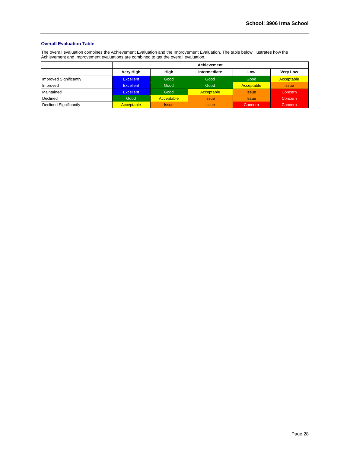#### **Overall Evaluation Table**

The overall evaluation combines the Achievement Evaluation and the Improvement Evaluation. The table below illustrates how the Achievement and Improvement evaluations are combined to get the overall evaluation.

|                        |                  |              | <b>Achievement</b> |              |                 |
|------------------------|------------------|--------------|--------------------|--------------|-----------------|
|                        | Very High        | High         | Intermediate       | Low          | <b>Very Low</b> |
| Improved Significantly | <b>Excellent</b> | Good         | Good               | Good         | Acceptable      |
| Improved               | <b>Excellent</b> | Good         | Good               | Acceptable   | <b>Issue</b>    |
| Maintained             | <b>Excellent</b> | Good         | Acceptable         | <b>Issue</b> | Concern         |
| Declined               | Good             | Acceptable   | <b>Issue</b>       | <b>Issue</b> | Concern         |
| Declined Significantly | Acceptable       | <b>Issue</b> | <b>Issue</b>       | Concern      | Concern         |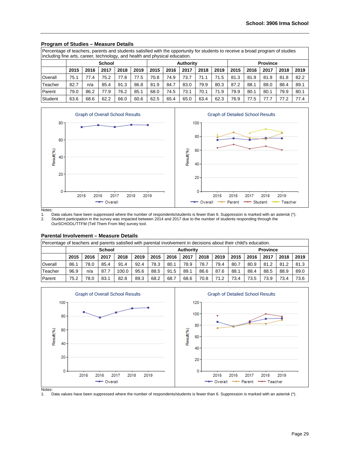| Percentage of teachers, parents and students satisfied with the opportunity for students to receive a broad program of studies<br>including fine arts, career, technology, and health and physical education. |      |                                                                                                              |               |      |      |      |      |                  |      |      |      |      |                 |      |      |
|---------------------------------------------------------------------------------------------------------------------------------------------------------------------------------------------------------------|------|--------------------------------------------------------------------------------------------------------------|---------------|------|------|------|------|------------------|------|------|------|------|-----------------|------|------|
|                                                                                                                                                                                                               |      |                                                                                                              | <b>School</b> |      |      |      |      | <b>Authority</b> |      |      |      |      | <b>Province</b> |      |      |
|                                                                                                                                                                                                               | 2015 | 2015<br>2017<br>2015<br>2018<br>2019<br>2018<br>2019<br>2016<br>2018<br>2019<br>2016<br>2017<br>2017<br>2016 |               |      |      |      |      |                  |      |      |      |      |                 |      |      |
| Overall                                                                                                                                                                                                       | 75.1 | 77.4                                                                                                         | 75.2          | 77.8 | 77.5 | 70.8 | 74.9 | 73.7             | 71.1 | 71.5 | 81.3 | 81.9 | 81.9            | 81.8 | 82.2 |
| Teacher                                                                                                                                                                                                       | 82.7 | n/a                                                                                                          | 85.4          | 91.3 | 86.8 | 81.9 | 84.7 | 83.0             | 79.9 | 80.3 | 87.2 | 88.1 | 88.0            | 88.4 | 89.1 |
| Parent                                                                                                                                                                                                        | 79.0 | 86.2                                                                                                         | 77.9          | 76.2 | 85.1 | 68.0 | 74.5 | 73.1             | 70.1 | 71.9 | 79.9 | 80.1 | 80.1            | 79.9 | 80.1 |
| Student                                                                                                                                                                                                       | 63.6 | 68.6                                                                                                         | 62.2          | 66.0 | 60.6 | 62.5 | 65.4 | 65.0             | 63.4 | 62.3 | 76.9 | 77.5 | 77.7            | 77.2 | 77.4 |

### **Program of Studies – Measure Details**



Notes:

1. Data values have been suppressed where the number of respondents/students is fewer than 6. Suppression is marked with an asterisk (\*).<br>2. Student participation in the survey was impacted between 2014 and 2017 due to the 2. Student participation in the survey was impacted between 2014 and 2017 due to the number of students responding through the OurSCHOOL/TTFM (Tell Them From Me) survey tool.

#### **Parental Involvement – Measure Details**

| Percentage of teachers and parents satisfied with parental involvement in decisions about their child's education. |                                                                                                              |      |               |       |      |      |      |                  |      |      |      |      |                 |      |      |
|--------------------------------------------------------------------------------------------------------------------|--------------------------------------------------------------------------------------------------------------|------|---------------|-------|------|------|------|------------------|------|------|------|------|-----------------|------|------|
|                                                                                                                    |                                                                                                              |      | <b>School</b> |       |      |      |      | <b>Authority</b> |      |      |      |      | <b>Province</b> |      |      |
|                                                                                                                    | 2018<br>2019<br>2018<br>2019<br>2018<br>2017<br>2015<br>2016<br>2017<br>2015<br>2015<br>2016<br>2016<br>2017 |      |               |       |      |      |      |                  |      | 2019 |      |      |                 |      |      |
| Overall                                                                                                            | 86.1                                                                                                         | 78.0 | 85.4          | 91.4  | 92.4 | 78.3 | 80.1 | 78.9             | 78.7 | 79.4 | 80.7 | 80.9 | 81.2            | 81.2 | 81.3 |
| Teacher                                                                                                            | 96.9                                                                                                         | n/a  | 87.7          | 100.0 | 95.6 | 88.5 | 91.5 | 89.1             | 86.6 | 87.6 | 88.1 | 88.4 | 88.5            | 88.9 | 89.0 |
| Parent                                                                                                             | 75.2                                                                                                         | 78.0 | 83.1          | 82.8  | 89.3 | 68.2 | 68.7 | 68.6             | 70.8 | 71.2 | 73.4 | 73.5 | 73.9            | 73.4 | 73.6 |



Data values have been suppressed where the number of respondents/students is fewer than 6. Suppression is marked with an asterisk (\*).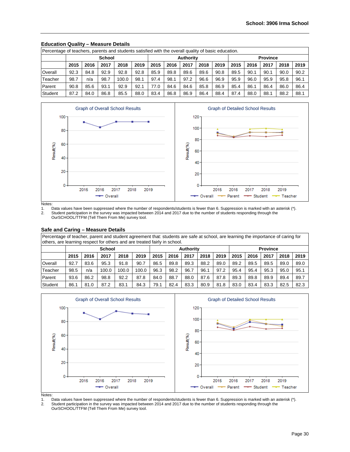| Percentage of teachers, parents and students satisfied with the overall quality of basic education. |      |      |               |       |      |      |      |                  |      |      |                 |      |      |      |      |  |
|-----------------------------------------------------------------------------------------------------|------|------|---------------|-------|------|------|------|------------------|------|------|-----------------|------|------|------|------|--|
|                                                                                                     |      |      | <b>School</b> |       |      |      |      | <b>Authority</b> |      |      | <b>Province</b> |      |      |      |      |  |
|                                                                                                     | 2015 | 2016 | 2017          | 2018  | 2019 | 2015 | 2016 | 2017             | 2018 | 2019 | 2015            | 2016 | 2017 | 2018 | 2019 |  |
| Overall                                                                                             | 92.3 | 84.8 | 92.9          | 92.8  | 92.8 | 85.9 | 89.8 | 89.6             | 89.6 | 90.8 | 89.5            | 90.1 | 90.1 | 90.0 | 90.2 |  |
| Teacher                                                                                             | 98.7 | n/a  | 98.7          | 100.0 | 98.1 | 97.4 | 98.1 | 97.2             | 96.6 | 96.9 | 95.9            | 96.0 | 95.9 | 95.8 | 96.1 |  |
| Parent                                                                                              | 90.8 | 85.6 | 93.1          | 92.9  | 92.1 | 77.0 | 84.6 | 84.6             | 85.8 | 86.9 | 85.4            | 86.7 | 86.4 | 86.0 | 86.4 |  |
| Student                                                                                             | 87.2 | 84.0 | 86.8          | 85.5  | 88.0 | 83.4 | 86.8 | 86.9             | 86.4 | 88.4 | 87.4            | 88.0 | 88.1 | 88.2 | 88.1 |  |

# **Education Quality – Measure Details**



Notes:

1. Data values have been suppressed where the number of respondents/students is fewer than 6. Suppression is marked with an asterisk (\*).<br>2. Student participation in the survey was impacted between 2014 and 2017 due to the 2. Student participation in the survey was impacted between 2014 and 2017 due to the number of students responding through the OurSCHOOL/TTFM (Tell Them From Me) survey tool.

#### **Safe and Caring – Measure Details**

Percentage of teacher, parent and student agreement that: students are safe at school, are learning the importance of caring for others, are learning respect for others and are treated fairly in school.

|         | <b>School</b> |      |       |       |       |      |      | <b>Authority</b> |      |      | <b>Province</b> |      |      |      |      |
|---------|---------------|------|-------|-------|-------|------|------|------------------|------|------|-----------------|------|------|------|------|
|         | 2015          | 2016 | 2017  | 2018  | 2019  | 2015 | 2016 | 2017             | 2018 | 2019 | 2015            | 2016 | 2017 | 2018 | 2019 |
| Overall | 92.7          | 83.6 | 95.3  | 91.8  | 90.7  | 86.5 | 89.8 | 89.3             | 88.2 | 89.0 | 89.2            | 89.5 | 89.5 | 89.0 | 89.0 |
| Teacher | 98.5          | n/a  | 100.0 | 100.0 | 100.0 | 96.3 | 98.2 | 96.7             | 96.1 | 97.2 | 95.4            | 95.4 | 95.3 | 95.0 | 95.1 |
| Parent  | 93.6          | 86.2 | 98.8  | 92.2  | 87.8  | 84.0 | 88.7 | 88.0             | 87.6 | 87.8 | 89.3            | 89.8 | 89.9 | 89.4 | 89.7 |
| Student | 86.           | 81.0 | 87.2  | 83.1  | 84.3  | 79.1 | 82.4 | 83.3             | 80.9 | 81.8 | 83.0            | 83.4 | 83.3 | 82.5 | 82.3 |



Notes:<br>1. 1. Data values have been suppressed where the number of respondents/students is fewer than 6. Suppression is marked with an asterisk (\*).<br>2. Student participation in the survey was impacted between 2014 and 2017 due to the 2. Student participation in the survey was impacted between 2014 and 2017 due to the number of students responding through the

OurSCHOOL/TTFM (Tell Them From Me) survey tool.